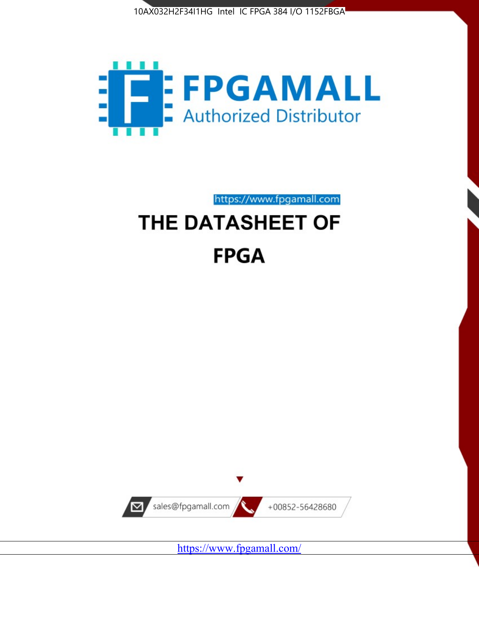



# https://www.fpgamall.com THE DATASHEET OF

# **FPGA**



<https://www.fpgamall.com/>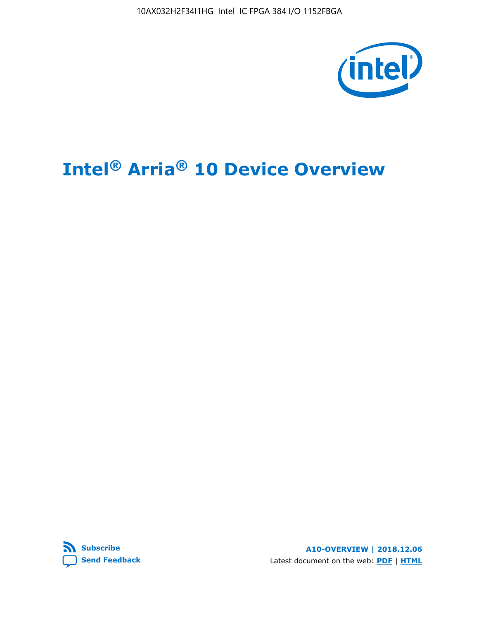10AX032H2F34I1HG Intel IC FPGA 384 I/O 1152FBGA



# **Intel® Arria® 10 Device Overview**



**A10-OVERVIEW | 2018.12.06** Latest document on the web: **[PDF](https://www.intel.com/content/dam/www/programmable/us/en/pdfs/literature/hb/arria-10/a10_overview.pdf)** | **[HTML](https://www.intel.com/content/www/us/en/programmable/documentation/sam1403480274650.html)**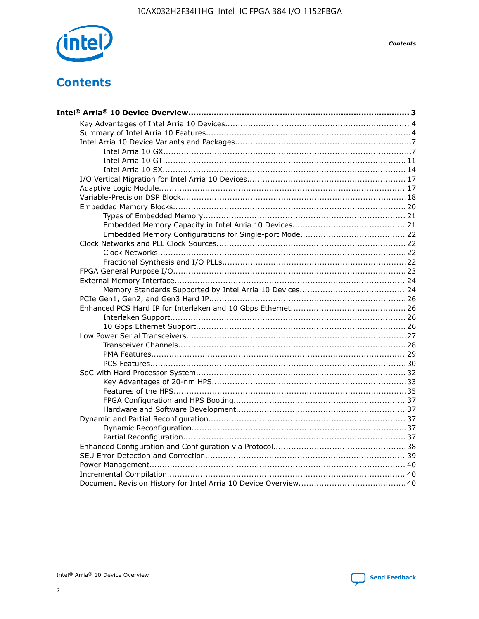

**Contents** 

# **Contents**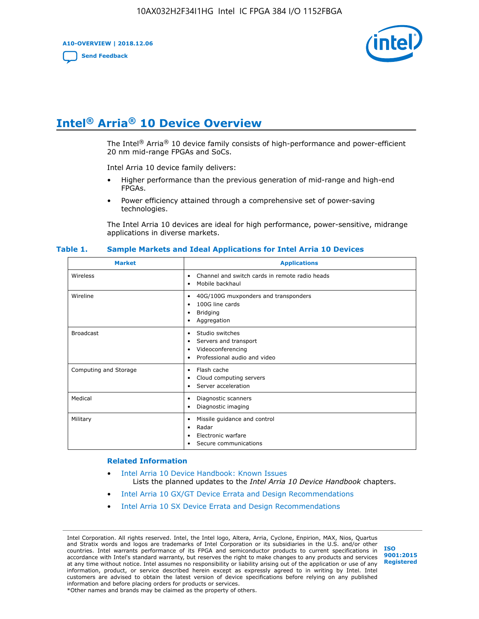**A10-OVERVIEW | 2018.12.06**

**[Send Feedback](mailto:FPGAtechdocfeedback@intel.com?subject=Feedback%20on%20Intel%20Arria%2010%20Device%20Overview%20(A10-OVERVIEW%202018.12.06)&body=We%20appreciate%20your%20feedback.%20In%20your%20comments,%20also%20specify%20the%20page%20number%20or%20paragraph.%20Thank%20you.)**



# **Intel® Arria® 10 Device Overview**

The Intel<sup>®</sup> Arria<sup>®</sup> 10 device family consists of high-performance and power-efficient 20 nm mid-range FPGAs and SoCs.

Intel Arria 10 device family delivers:

- Higher performance than the previous generation of mid-range and high-end FPGAs.
- Power efficiency attained through a comprehensive set of power-saving technologies.

The Intel Arria 10 devices are ideal for high performance, power-sensitive, midrange applications in diverse markets.

| <b>Market</b>         | <b>Applications</b>                                                                                               |
|-----------------------|-------------------------------------------------------------------------------------------------------------------|
| Wireless              | Channel and switch cards in remote radio heads<br>٠<br>Mobile backhaul<br>٠                                       |
| Wireline              | 40G/100G muxponders and transponders<br>٠<br>100G line cards<br>٠<br><b>Bridging</b><br>٠<br>Aggregation<br>٠     |
| <b>Broadcast</b>      | Studio switches<br>٠<br>Servers and transport<br>٠<br>Videoconferencing<br>٠<br>Professional audio and video<br>٠ |
| Computing and Storage | Flash cache<br>٠<br>Cloud computing servers<br>٠<br>Server acceleration<br>٠                                      |
| Medical               | Diagnostic scanners<br>٠<br>Diagnostic imaging<br>٠                                                               |
| Military              | Missile guidance and control<br>٠<br>Radar<br>٠<br>Electronic warfare<br>٠<br>Secure communications<br>٠          |

#### **Table 1. Sample Markets and Ideal Applications for Intel Arria 10 Devices**

#### **Related Information**

- [Intel Arria 10 Device Handbook: Known Issues](http://www.altera.com/support/kdb/solutions/rd07302013_646.html) Lists the planned updates to the *Intel Arria 10 Device Handbook* chapters.
- [Intel Arria 10 GX/GT Device Errata and Design Recommendations](https://www.intel.com/content/www/us/en/programmable/documentation/agz1493851706374.html#yqz1494433888646)
- [Intel Arria 10 SX Device Errata and Design Recommendations](https://www.intel.com/content/www/us/en/programmable/documentation/cru1462832385668.html#cru1462832558642)

Intel Corporation. All rights reserved. Intel, the Intel logo, Altera, Arria, Cyclone, Enpirion, MAX, Nios, Quartus and Stratix words and logos are trademarks of Intel Corporation or its subsidiaries in the U.S. and/or other countries. Intel warrants performance of its FPGA and semiconductor products to current specifications in accordance with Intel's standard warranty, but reserves the right to make changes to any products and services at any time without notice. Intel assumes no responsibility or liability arising out of the application or use of any information, product, or service described herein except as expressly agreed to in writing by Intel. Intel customers are advised to obtain the latest version of device specifications before relying on any published information and before placing orders for products or services. \*Other names and brands may be claimed as the property of others.

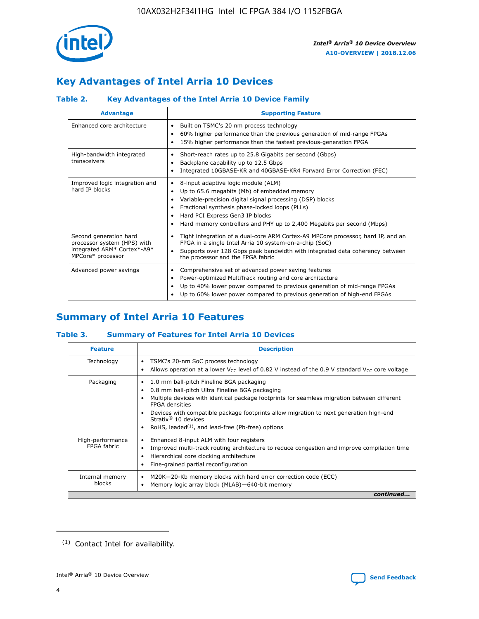

## **Key Advantages of Intel Arria 10 Devices**

## **Table 2. Key Advantages of the Intel Arria 10 Device Family**

| <b>Advantage</b>                                                                                          | <b>Supporting Feature</b>                                                                                                                                                                                                                                                                                                     |
|-----------------------------------------------------------------------------------------------------------|-------------------------------------------------------------------------------------------------------------------------------------------------------------------------------------------------------------------------------------------------------------------------------------------------------------------------------|
| Enhanced core architecture                                                                                | Built on TSMC's 20 nm process technology<br>٠<br>60% higher performance than the previous generation of mid-range FPGAs<br>٠<br>15% higher performance than the fastest previous-generation FPGA<br>٠                                                                                                                         |
| High-bandwidth integrated<br>transceivers                                                                 | Short-reach rates up to 25.8 Gigabits per second (Gbps)<br>٠<br>Backplane capability up to 12.5 Gbps<br>٠<br>Integrated 10GBASE-KR and 40GBASE-KR4 Forward Error Correction (FEC)<br>٠                                                                                                                                        |
| Improved logic integration and<br>hard IP blocks                                                          | 8-input adaptive logic module (ALM)<br>٠<br>Up to 65.6 megabits (Mb) of embedded memory<br>٠<br>Variable-precision digital signal processing (DSP) blocks<br>Fractional synthesis phase-locked loops (PLLs)<br>٠<br>Hard PCI Express Gen3 IP blocks<br>Hard memory controllers and PHY up to 2,400 Megabits per second (Mbps) |
| Second generation hard<br>processor system (HPS) with<br>integrated ARM* Cortex*-A9*<br>MPCore* processor | Tight integration of a dual-core ARM Cortex-A9 MPCore processor, hard IP, and an<br>٠<br>FPGA in a single Intel Arria 10 system-on-a-chip (SoC)<br>Supports over 128 Gbps peak bandwidth with integrated data coherency between<br>$\bullet$<br>the processor and the FPGA fabric                                             |
| Advanced power savings                                                                                    | Comprehensive set of advanced power saving features<br>٠<br>Power-optimized MultiTrack routing and core architecture<br>٠<br>Up to 40% lower power compared to previous generation of mid-range FPGAs<br>٠<br>Up to 60% lower power compared to previous generation of high-end FPGAs                                         |

## **Summary of Intel Arria 10 Features**

## **Table 3. Summary of Features for Intel Arria 10 Devices**

| <b>Feature</b>                  | <b>Description</b>                                                                                                                                                                                                                                                                                                                                                                                           |
|---------------------------------|--------------------------------------------------------------------------------------------------------------------------------------------------------------------------------------------------------------------------------------------------------------------------------------------------------------------------------------------------------------------------------------------------------------|
| Technology                      | TSMC's 20-nm SoC process technology<br>Allows operation at a lower $V_{\text{CC}}$ level of 0.82 V instead of the 0.9 V standard $V_{\text{CC}}$ core voltage                                                                                                                                                                                                                                                |
| Packaging                       | 1.0 mm ball-pitch Fineline BGA packaging<br>٠<br>0.8 mm ball-pitch Ultra Fineline BGA packaging<br>Multiple devices with identical package footprints for seamless migration between different<br><b>FPGA</b> densities<br>Devices with compatible package footprints allow migration to next generation high-end<br>Stratix <sup>®</sup> 10 devices<br>RoHS, leaded $(1)$ , and lead-free (Pb-free) options |
| High-performance<br>FPGA fabric | Enhanced 8-input ALM with four registers<br>Improved multi-track routing architecture to reduce congestion and improve compilation time<br>Hierarchical core clocking architecture<br>Fine-grained partial reconfiguration                                                                                                                                                                                   |
| Internal memory<br>blocks       | M20K-20-Kb memory blocks with hard error correction code (ECC)<br>Memory logic array block (MLAB)-640-bit memory                                                                                                                                                                                                                                                                                             |
|                                 | continued                                                                                                                                                                                                                                                                                                                                                                                                    |



<sup>(1)</sup> Contact Intel for availability.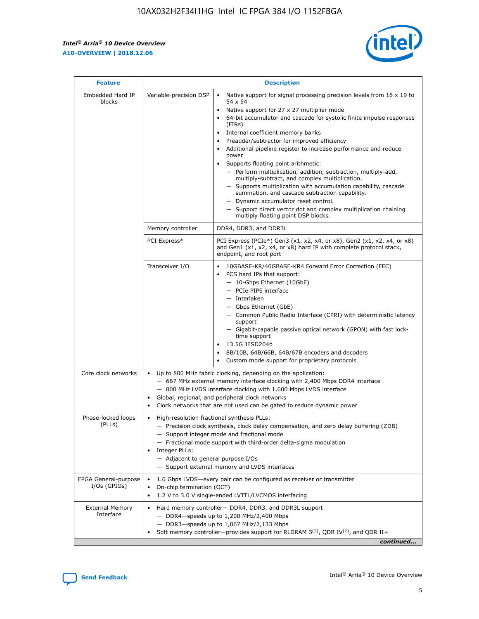$\mathbf{r}$ 



| <b>Feature</b>                         | <b>Description</b>                                                                                     |                                                                                                                                                                                                                                                                                                                                                                                                                                                                                                                                                                                                                                                                                                                                                                                                                                                                               |  |  |  |  |  |
|----------------------------------------|--------------------------------------------------------------------------------------------------------|-------------------------------------------------------------------------------------------------------------------------------------------------------------------------------------------------------------------------------------------------------------------------------------------------------------------------------------------------------------------------------------------------------------------------------------------------------------------------------------------------------------------------------------------------------------------------------------------------------------------------------------------------------------------------------------------------------------------------------------------------------------------------------------------------------------------------------------------------------------------------------|--|--|--|--|--|
| Embedded Hard IP<br>blocks             | Variable-precision DSP                                                                                 | Native support for signal processing precision levels from $18 \times 19$ to<br>$\bullet$<br>54 x 54<br>Native support for 27 x 27 multiplier mode<br>$\bullet$<br>64-bit accumulator and cascade for systolic finite impulse responses<br>$\bullet$<br>(FIRs)<br>Internal coefficient memory banks<br>$\bullet$<br>Preadder/subtractor for improved efficiency<br>Additional pipeline register to increase performance and reduce<br>power<br>Supports floating point arithmetic:<br>- Perform multiplication, addition, subtraction, multiply-add,<br>multiply-subtract, and complex multiplication.<br>- Supports multiplication with accumulation capability, cascade<br>summation, and cascade subtraction capability.<br>- Dynamic accumulator reset control.<br>- Support direct vector dot and complex multiplication chaining<br>multiply floating point DSP blocks. |  |  |  |  |  |
|                                        | Memory controller                                                                                      | DDR4, DDR3, and DDR3L                                                                                                                                                                                                                                                                                                                                                                                                                                                                                                                                                                                                                                                                                                                                                                                                                                                         |  |  |  |  |  |
|                                        | PCI Express*                                                                                           | PCI Express (PCIe*) Gen3 (x1, x2, x4, or x8), Gen2 (x1, x2, x4, or x8)<br>and Gen1 (x1, x2, x4, or x8) hard IP with complete protocol stack,<br>endpoint, and root port                                                                                                                                                                                                                                                                                                                                                                                                                                                                                                                                                                                                                                                                                                       |  |  |  |  |  |
|                                        | Transceiver I/O                                                                                        | 10GBASE-KR/40GBASE-KR4 Forward Error Correction (FEC)<br>PCS hard IPs that support:<br>٠<br>- 10-Gbps Ethernet (10GbE)<br>- PCIe PIPE interface<br>- Interlaken<br>- Gbps Ethernet (GbE)<br>- Common Public Radio Interface (CPRI) with deterministic latency<br>support<br>- Gigabit-capable passive optical network (GPON) with fast lock-<br>time support<br>13.5G JESD204b<br>$\bullet$<br>8B/10B, 64B/66B, 64B/67B encoders and decoders<br>$\bullet$<br>Custom mode support for proprietary protocols                                                                                                                                                                                                                                                                                                                                                                   |  |  |  |  |  |
| Core clock networks                    | $\bullet$                                                                                              | Up to 800 MHz fabric clocking, depending on the application:<br>- 667 MHz external memory interface clocking with 2,400 Mbps DDR4 interface<br>- 800 MHz LVDS interface clocking with 1,600 Mbps LVDS interface<br>Global, regional, and peripheral clock networks<br>Clock networks that are not used can be gated to reduce dynamic power                                                                                                                                                                                                                                                                                                                                                                                                                                                                                                                                   |  |  |  |  |  |
| Phase-locked loops<br>(PLLs)           | High-resolution fractional synthesis PLLs:<br>٠<br>Integer PLLs:<br>- Adjacent to general purpose I/Os | - Precision clock synthesis, clock delay compensation, and zero delay buffering (ZDB)<br>- Support integer mode and fractional mode<br>- Fractional mode support with third-order delta-sigma modulation<br>- Support external memory and LVDS interfaces                                                                                                                                                                                                                                                                                                                                                                                                                                                                                                                                                                                                                     |  |  |  |  |  |
| FPGA General-purpose<br>$I/Os$ (GPIOs) | On-chip termination (OCT)<br>٠                                                                         | 1.6 Gbps LVDS-every pair can be configured as receiver or transmitter<br>1.2 V to 3.0 V single-ended LVTTL/LVCMOS interfacing                                                                                                                                                                                                                                                                                                                                                                                                                                                                                                                                                                                                                                                                                                                                                 |  |  |  |  |  |
| <b>External Memory</b><br>Interface    | $\bullet$                                                                                              | Hard memory controller- DDR4, DDR3, and DDR3L support<br>$-$ DDR4 $-$ speeds up to 1,200 MHz/2,400 Mbps<br>- DDR3-speeds up to 1,067 MHz/2,133 Mbps<br>Soft memory controller—provides support for RLDRAM $3^{(2)}$ , QDR IV $^{(2)}$ , and QDR II+<br>continued                                                                                                                                                                                                                                                                                                                                                                                                                                                                                                                                                                                                              |  |  |  |  |  |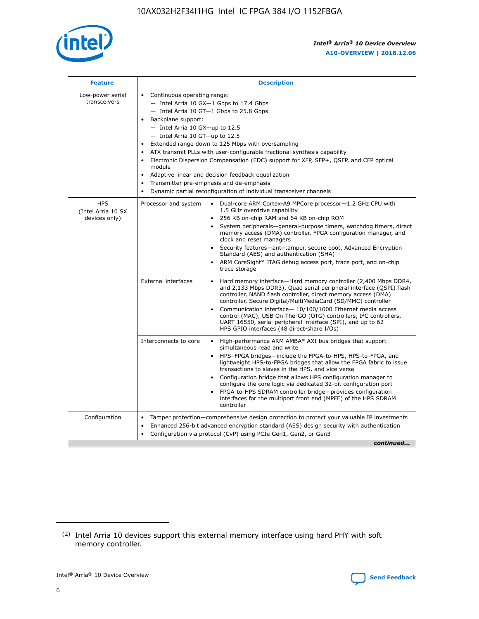

| <b>Feature</b>                                    | <b>Description</b>                                                                                                                                                                                                                                                                                                                                                                                                                                                                                                                                                                                                                                      |
|---------------------------------------------------|---------------------------------------------------------------------------------------------------------------------------------------------------------------------------------------------------------------------------------------------------------------------------------------------------------------------------------------------------------------------------------------------------------------------------------------------------------------------------------------------------------------------------------------------------------------------------------------------------------------------------------------------------------|
| Low-power serial<br>transceivers                  | • Continuous operating range:<br>- Intel Arria 10 GX-1 Gbps to 17.4 Gbps<br>- Intel Arria 10 GT-1 Gbps to 25.8 Gbps<br>Backplane support:<br>$-$ Intel Arria 10 GX-up to 12.5<br>- Intel Arria 10 GT-up to 12.5<br>Extended range down to 125 Mbps with oversampling<br>ATX transmit PLLs with user-configurable fractional synthesis capability<br>• Electronic Dispersion Compensation (EDC) support for XFP, SFP+, QSFP, and CFP optical<br>module<br>Adaptive linear and decision feedback equalization<br>$\bullet$<br>Transmitter pre-emphasis and de-emphasis<br>$\bullet$<br>Dynamic partial reconfiguration of individual transceiver channels |
| <b>HPS</b><br>(Intel Arria 10 SX<br>devices only) | Processor and system<br>Dual-core ARM Cortex-A9 MPCore processor-1.2 GHz CPU with<br>$\bullet$<br>1.5 GHz overdrive capability<br>• 256 KB on-chip RAM and 64 KB on-chip ROM<br>System peripherals-general-purpose timers, watchdog timers, direct<br>memory access (DMA) controller, FPGA configuration manager, and<br>clock and reset managers<br>• Security features—anti-tamper, secure boot, Advanced Encryption<br>Standard (AES) and authentication (SHA)<br>ARM CoreSight* JTAG debug access port, trace port, and on-chip<br>trace storage                                                                                                    |
|                                                   | <b>External interfaces</b><br>Hard memory interface—Hard memory controller (2,400 Mbps DDR4,<br>$\bullet$<br>and 2,133 Mbps DDR3), Quad serial peripheral interface (QSPI) flash<br>controller, NAND flash controller, direct memory access (DMA)<br>controller, Secure Digital/MultiMediaCard (SD/MMC) controller<br>Communication interface-10/100/1000 Ethernet media access<br>control (MAC), USB On-The-GO (OTG) controllers, I <sup>2</sup> C controllers,<br>UART 16550, serial peripheral interface (SPI), and up to 62<br>HPS GPIO interfaces (48 direct-share I/Os)                                                                           |
|                                                   | High-performance ARM AMBA* AXI bus bridges that support<br>Interconnects to core<br>$\bullet$<br>simultaneous read and write<br>HPS-FPGA bridges—include the FPGA-to-HPS, HPS-to-FPGA, and<br>lightweight HPS-to-FPGA bridges that allow the FPGA fabric to issue<br>transactions to slaves in the HPS, and vice versa<br>Configuration bridge that allows HPS configuration manager to<br>configure the core logic via dedicated 32-bit configuration port<br>FPGA-to-HPS SDRAM controller bridge-provides configuration<br>interfaces for the multiport front end (MPFE) of the HPS SDRAM<br>controller                                               |
| Configuration                                     | Tamper protection—comprehensive design protection to protect your valuable IP investments<br>Enhanced 256-bit advanced encryption standard (AES) design security with authentication<br>٠<br>Configuration via protocol (CvP) using PCIe Gen1, Gen2, or Gen3<br>continued                                                                                                                                                                                                                                                                                                                                                                               |

<sup>(2)</sup> Intel Arria 10 devices support this external memory interface using hard PHY with soft memory controller.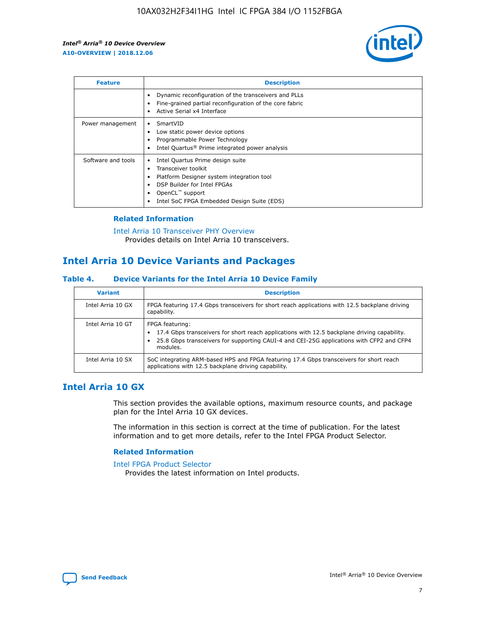

| <b>Feature</b>     | <b>Description</b>                                                                                                                                                                                               |
|--------------------|------------------------------------------------------------------------------------------------------------------------------------------------------------------------------------------------------------------|
|                    | Dynamic reconfiguration of the transceivers and PLLs<br>Fine-grained partial reconfiguration of the core fabric<br>Active Serial x4 Interface<br>$\bullet$                                                       |
| Power management   | SmartVID<br>Low static power device options<br>Programmable Power Technology<br>Intel Quartus <sup>®</sup> Prime integrated power analysis                                                                       |
| Software and tools | Intel Quartus Prime design suite<br>Transceiver toolkit<br>Platform Designer system integration tool<br>DSP Builder for Intel FPGAs<br>OpenCL <sup>™</sup> support<br>Intel SoC FPGA Embedded Design Suite (EDS) |

## **Related Information**

[Intel Arria 10 Transceiver PHY Overview](https://www.intel.com/content/www/us/en/programmable/documentation/nik1398707230472.html#nik1398706768037) Provides details on Intel Arria 10 transceivers.

## **Intel Arria 10 Device Variants and Packages**

#### **Table 4. Device Variants for the Intel Arria 10 Device Family**

| <b>Variant</b>    | <b>Description</b>                                                                                                                                                                                                     |
|-------------------|------------------------------------------------------------------------------------------------------------------------------------------------------------------------------------------------------------------------|
| Intel Arria 10 GX | FPGA featuring 17.4 Gbps transceivers for short reach applications with 12.5 backplane driving<br>capability.                                                                                                          |
| Intel Arria 10 GT | FPGA featuring:<br>17.4 Gbps transceivers for short reach applications with 12.5 backplane driving capability.<br>25.8 Gbps transceivers for supporting CAUI-4 and CEI-25G applications with CFP2 and CFP4<br>modules. |
| Intel Arria 10 SX | SoC integrating ARM-based HPS and FPGA featuring 17.4 Gbps transceivers for short reach<br>applications with 12.5 backplane driving capability.                                                                        |

## **Intel Arria 10 GX**

This section provides the available options, maximum resource counts, and package plan for the Intel Arria 10 GX devices.

The information in this section is correct at the time of publication. For the latest information and to get more details, refer to the Intel FPGA Product Selector.

#### **Related Information**

#### [Intel FPGA Product Selector](http://www.altera.com/products/selector/psg-selector.html) Provides the latest information on Intel products.

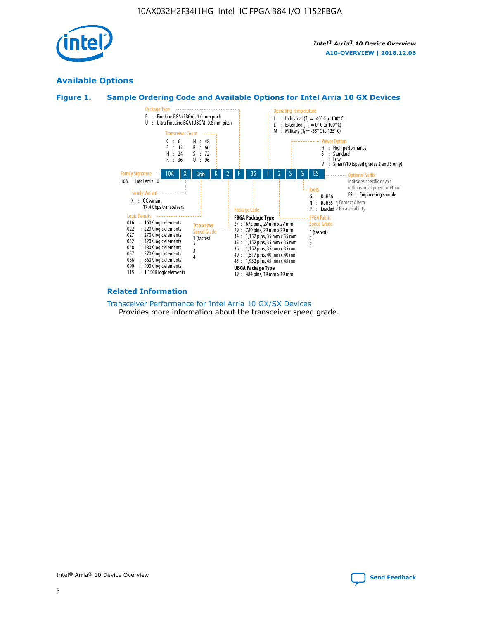

## **Available Options**





#### **Related Information**

[Transceiver Performance for Intel Arria 10 GX/SX Devices](https://www.intel.com/content/www/us/en/programmable/documentation/mcn1413182292568.html#mcn1413213965502) Provides more information about the transceiver speed grade.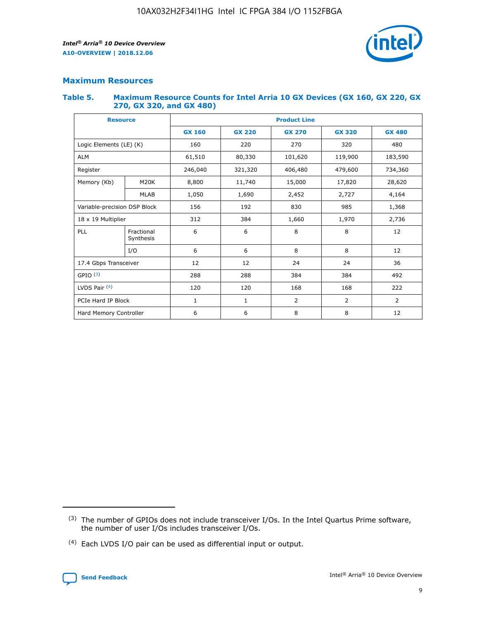

## **Maximum Resources**

#### **Table 5. Maximum Resource Counts for Intel Arria 10 GX Devices (GX 160, GX 220, GX 270, GX 320, and GX 480)**

| <b>Resource</b>              |                         | <b>Product Line</b> |                                |            |                |                |  |  |  |
|------------------------------|-------------------------|---------------------|--------------------------------|------------|----------------|----------------|--|--|--|
|                              |                         | <b>GX 160</b>       | <b>GX 220</b><br><b>GX 270</b> |            | <b>GX 320</b>  | <b>GX 480</b>  |  |  |  |
| Logic Elements (LE) (K)      |                         | 160                 | 220                            | 270        | 320            | 480            |  |  |  |
| <b>ALM</b>                   |                         | 61,510              | 80,330                         | 101,620    | 119,900        | 183,590        |  |  |  |
| Register                     |                         | 246,040             | 406,480<br>321,320             |            | 479,600        | 734,360        |  |  |  |
| Memory (Kb)                  | M <sub>20</sub> K       | 8,800               | 11,740<br>15,000               |            | 17,820         | 28,620         |  |  |  |
| <b>MLAB</b>                  |                         | 1,050               | 1,690                          |            | 2,727          | 4,164          |  |  |  |
| Variable-precision DSP Block |                         | 156                 | 192<br>830<br>985              |            |                | 1,368          |  |  |  |
| 18 x 19 Multiplier           |                         | 312                 | 384                            | 1,660      | 1,970          | 2,736          |  |  |  |
| PLL                          | Fractional<br>Synthesis | 6                   | 6                              | 8          | 8              | 12             |  |  |  |
|                              | I/O                     | 6                   | 6                              | 8          | 8              | 12             |  |  |  |
| 17.4 Gbps Transceiver        |                         | 12                  | 12                             | 24<br>24   |                | 36             |  |  |  |
| GPIO <sup>(3)</sup>          |                         | 288                 | 288                            | 384<br>384 |                | 492            |  |  |  |
| LVDS Pair $(4)$              |                         | 120                 | 120                            | 168        | 168            | 222            |  |  |  |
| PCIe Hard IP Block           |                         | 1                   | 1                              | 2          | $\overline{2}$ | $\overline{2}$ |  |  |  |
| Hard Memory Controller       |                         | 6                   | 6                              | 8          | 8              | 12             |  |  |  |

<sup>(4)</sup> Each LVDS I/O pair can be used as differential input or output.



<sup>(3)</sup> The number of GPIOs does not include transceiver I/Os. In the Intel Quartus Prime software, the number of user I/Os includes transceiver I/Os.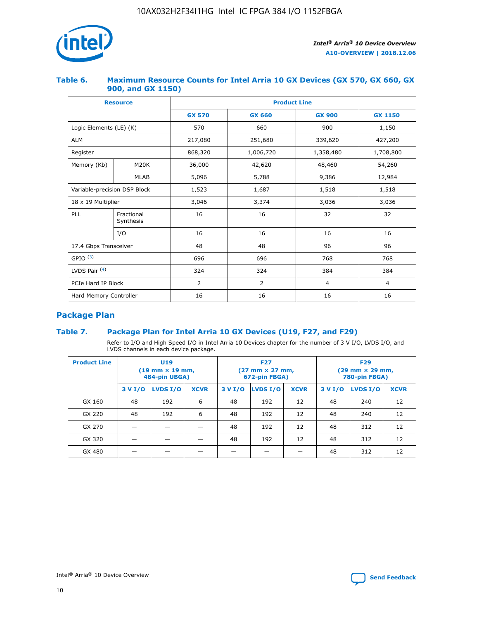

## **Table 6. Maximum Resource Counts for Intel Arria 10 GX Devices (GX 570, GX 660, GX 900, and GX 1150)**

|                              | <b>Resource</b>         | <b>Product Line</b> |                |                |                |  |  |  |  |
|------------------------------|-------------------------|---------------------|----------------|----------------|----------------|--|--|--|--|
|                              |                         | <b>GX 570</b>       | <b>GX 660</b>  | <b>GX 900</b>  | <b>GX 1150</b> |  |  |  |  |
| Logic Elements (LE) (K)      |                         | 570                 | 660            | 900            | 1,150          |  |  |  |  |
| <b>ALM</b>                   |                         | 217,080             | 251,680        | 339,620        | 427,200        |  |  |  |  |
| Register                     |                         | 868,320             | 1,006,720      | 1,358,480      | 1,708,800      |  |  |  |  |
| Memory (Kb)                  | <b>M20K</b>             | 36,000              | 42,620         | 48,460         | 54,260         |  |  |  |  |
| <b>MLAB</b>                  |                         | 5,096               | 5,788          | 9,386          | 12,984         |  |  |  |  |
| Variable-precision DSP Block |                         | 1,523               | 1,687          | 1,518          | 1,518          |  |  |  |  |
| $18 \times 19$ Multiplier    |                         | 3,046               | 3,374          | 3,036          | 3,036          |  |  |  |  |
| PLL                          | Fractional<br>Synthesis | 16                  | 16             | 32             | 32             |  |  |  |  |
|                              | I/O                     | 16                  | 16             | 16             | 16             |  |  |  |  |
| 17.4 Gbps Transceiver        |                         | 48                  | 48             | 96             |                |  |  |  |  |
| GPIO <sup>(3)</sup>          |                         | 696                 | 696            | 768            | 768            |  |  |  |  |
| LVDS Pair $(4)$              |                         | 324                 | 324            | 384            | 384            |  |  |  |  |
| PCIe Hard IP Block           |                         | 2                   | $\overline{2}$ | $\overline{4}$ | 4              |  |  |  |  |
| Hard Memory Controller       |                         | 16                  | 16             | 16             | 16             |  |  |  |  |

## **Package Plan**

## **Table 7. Package Plan for Intel Arria 10 GX Devices (U19, F27, and F29)**

Refer to I/O and High Speed I/O in Intel Arria 10 Devices chapter for the number of 3 V I/O, LVDS I/O, and LVDS channels in each device package.

| <b>Product Line</b> | U <sub>19</sub><br>$(19 \text{ mm} \times 19 \text{ mm})$<br>484-pin UBGA) |          |             |         | <b>F27</b><br>(27 mm × 27 mm,<br>672-pin FBGA) |             | <b>F29</b><br>(29 mm × 29 mm,<br>780-pin FBGA) |          |             |  |
|---------------------|----------------------------------------------------------------------------|----------|-------------|---------|------------------------------------------------|-------------|------------------------------------------------|----------|-------------|--|
|                     | 3 V I/O                                                                    | LVDS I/O | <b>XCVR</b> | 3 V I/O | LVDS I/O                                       | <b>XCVR</b> | 3 V I/O                                        | LVDS I/O | <b>XCVR</b> |  |
| GX 160              | 48                                                                         | 192      | 6           | 48      | 192                                            | 12          | 48                                             | 240      | 12          |  |
| GX 220              | 48                                                                         | 192      | 6           | 48      | 192                                            | 12          | 48                                             | 240      | 12          |  |
| GX 270              |                                                                            |          |             | 48      | 192                                            | 12          | 48                                             | 312      | 12          |  |
| GX 320              |                                                                            |          |             | 48      | 192                                            | 12          | 48                                             | 312      | 12          |  |
| GX 480              |                                                                            |          |             |         |                                                |             | 48                                             | 312      | 12          |  |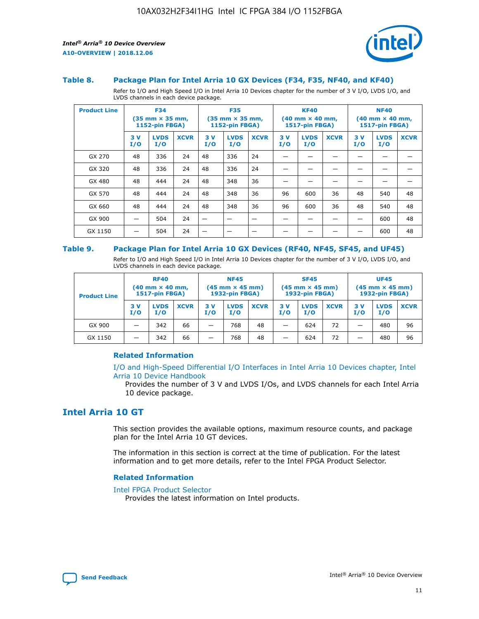



#### **Table 8. Package Plan for Intel Arria 10 GX Devices (F34, F35, NF40, and KF40)**

Refer to I/O and High Speed I/O in Intel Arria 10 Devices chapter for the number of 3 V I/O, LVDS I/O, and LVDS channels in each device package.

| <b>Product Line</b> |           | <b>F34</b><br>$(35 \text{ mm} \times 35 \text{ mm})$<br>1152-pin FBGA) |             | <b>F35</b><br>$(35 \text{ mm} \times 35 \text{ mm})$<br><b>1152-pin FBGA)</b> |                    | <b>KF40</b><br>$(40$ mm $\times$ 40 mm,<br>1517-pin FBGA) |           |                    | <b>NF40</b><br>$(40$ mm $\times$ 40 mm,<br><b>1517-pin FBGA)</b> |            |                    |             |
|---------------------|-----------|------------------------------------------------------------------------|-------------|-------------------------------------------------------------------------------|--------------------|-----------------------------------------------------------|-----------|--------------------|------------------------------------------------------------------|------------|--------------------|-------------|
|                     | 3V<br>I/O | <b>LVDS</b><br>I/O                                                     | <b>XCVR</b> | 3V<br>I/O                                                                     | <b>LVDS</b><br>I/O | <b>XCVR</b>                                               | 3V<br>I/O | <b>LVDS</b><br>I/O | <b>XCVR</b>                                                      | 3 V<br>I/O | <b>LVDS</b><br>I/O | <b>XCVR</b> |
| GX 270              | 48        | 336                                                                    | 24          | 48                                                                            | 336                | 24                                                        |           |                    |                                                                  |            |                    |             |
| GX 320              | 48        | 336                                                                    | 24          | 48                                                                            | 336                | 24                                                        |           |                    |                                                                  |            |                    |             |
| GX 480              | 48        | 444                                                                    | 24          | 48                                                                            | 348                | 36                                                        |           |                    |                                                                  |            |                    |             |
| GX 570              | 48        | 444                                                                    | 24          | 48                                                                            | 348                | 36                                                        | 96        | 600                | 36                                                               | 48         | 540                | 48          |
| GX 660              | 48        | 444                                                                    | 24          | 48                                                                            | 348                | 36                                                        | 96        | 600                | 36                                                               | 48         | 540                | 48          |
| GX 900              |           | 504                                                                    | 24          | -                                                                             |                    |                                                           |           |                    |                                                                  |            | 600                | 48          |
| GX 1150             |           | 504                                                                    | 24          |                                                                               |                    |                                                           |           |                    |                                                                  |            | 600                | 48          |

#### **Table 9. Package Plan for Intel Arria 10 GX Devices (RF40, NF45, SF45, and UF45)**

Refer to I/O and High Speed I/O in Intel Arria 10 Devices chapter for the number of 3 V I/O, LVDS I/O, and LVDS channels in each device package.

| <b>Product Line</b> | <b>RF40</b><br>$(40$ mm $\times$ 40 mm,<br>1517-pin FBGA) |                    |             | <b>NF45</b><br>$(45 \text{ mm} \times 45 \text{ mm})$<br><b>1932-pin FBGA)</b> |                    |             | <b>SF45</b><br>$(45 \text{ mm} \times 45 \text{ mm})$<br><b>1932-pin FBGA)</b> |                    |             | <b>UF45</b><br>$(45 \text{ mm} \times 45 \text{ mm})$<br><b>1932-pin FBGA)</b> |                    |             |
|---------------------|-----------------------------------------------------------|--------------------|-------------|--------------------------------------------------------------------------------|--------------------|-------------|--------------------------------------------------------------------------------|--------------------|-------------|--------------------------------------------------------------------------------|--------------------|-------------|
|                     | 3V<br>I/O                                                 | <b>LVDS</b><br>I/O | <b>XCVR</b> | 3 V<br>I/O                                                                     | <b>LVDS</b><br>I/O | <b>XCVR</b> | 3 V<br>I/O                                                                     | <b>LVDS</b><br>I/O | <b>XCVR</b> | 3V<br>I/O                                                                      | <b>LVDS</b><br>I/O | <b>XCVR</b> |
| GX 900              |                                                           | 342                | 66          | _                                                                              | 768                | 48          |                                                                                | 624                | 72          |                                                                                | 480                | 96          |
| GX 1150             |                                                           | 342                | 66          | _                                                                              | 768                | 48          |                                                                                | 624                | 72          |                                                                                | 480                | 96          |

## **Related Information**

[I/O and High-Speed Differential I/O Interfaces in Intel Arria 10 Devices chapter, Intel](https://www.intel.com/content/www/us/en/programmable/documentation/sam1403482614086.html#sam1403482030321) [Arria 10 Device Handbook](https://www.intel.com/content/www/us/en/programmable/documentation/sam1403482614086.html#sam1403482030321)

Provides the number of 3 V and LVDS I/Os, and LVDS channels for each Intel Arria 10 device package.

## **Intel Arria 10 GT**

This section provides the available options, maximum resource counts, and package plan for the Intel Arria 10 GT devices.

The information in this section is correct at the time of publication. For the latest information and to get more details, refer to the Intel FPGA Product Selector.

#### **Related Information**

#### [Intel FPGA Product Selector](http://www.altera.com/products/selector/psg-selector.html)

Provides the latest information on Intel products.

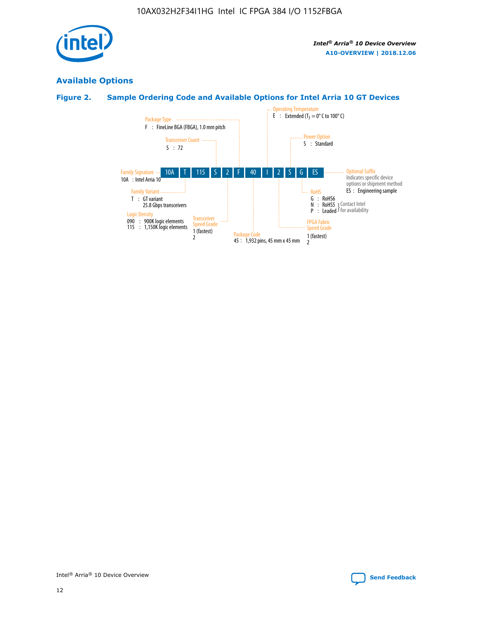

## **Available Options**

## **Figure 2. Sample Ordering Code and Available Options for Intel Arria 10 GT Devices**

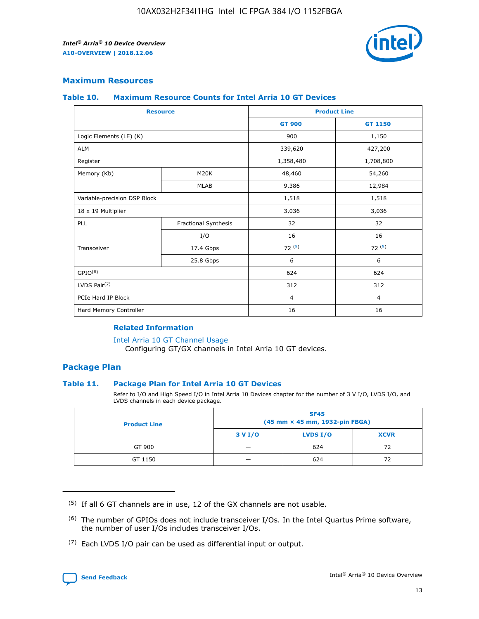

## **Maximum Resources**

#### **Table 10. Maximum Resource Counts for Intel Arria 10 GT Devices**

| <b>Resource</b>              |                      |                | <b>Product Line</b> |  |
|------------------------------|----------------------|----------------|---------------------|--|
|                              |                      | <b>GT 900</b>  | <b>GT 1150</b>      |  |
| Logic Elements (LE) (K)      |                      | 900            | 1,150               |  |
| <b>ALM</b>                   |                      | 339,620        | 427,200             |  |
| Register                     |                      | 1,358,480      | 1,708,800           |  |
| Memory (Kb)                  | M <sub>20</sub> K    | 48,460         | 54,260              |  |
|                              | <b>MLAB</b>          | 9,386          | 12,984              |  |
| Variable-precision DSP Block |                      | 1,518          | 1,518               |  |
| 18 x 19 Multiplier           |                      | 3,036          | 3,036               |  |
| PLL                          | Fractional Synthesis | 32             | 32                  |  |
|                              | I/O                  | 16             | 16                  |  |
| Transceiver                  | 17.4 Gbps            | 72(5)          | 72(5)               |  |
|                              | 25.8 Gbps            | 6              | 6                   |  |
| GPIO <sup>(6)</sup>          |                      | 624            | 624                 |  |
| LVDS Pair $(7)$              |                      | 312            | 312                 |  |
| PCIe Hard IP Block           |                      | $\overline{4}$ | $\overline{4}$      |  |
| Hard Memory Controller       |                      | 16             | 16                  |  |

#### **Related Information**

#### [Intel Arria 10 GT Channel Usage](https://www.intel.com/content/www/us/en/programmable/documentation/nik1398707230472.html#nik1398707008178)

Configuring GT/GX channels in Intel Arria 10 GT devices.

## **Package Plan**

## **Table 11. Package Plan for Intel Arria 10 GT Devices**

Refer to I/O and High Speed I/O in Intel Arria 10 Devices chapter for the number of 3 V I/O, LVDS I/O, and LVDS channels in each device package.

| <b>Product Line</b> | <b>SF45</b><br>(45 mm × 45 mm, 1932-pin FBGA) |                 |             |  |  |  |
|---------------------|-----------------------------------------------|-----------------|-------------|--|--|--|
|                     | 3 V I/O                                       | <b>LVDS I/O</b> | <b>XCVR</b> |  |  |  |
| GT 900              |                                               | 624             | 72          |  |  |  |
| GT 1150             |                                               | 624             |             |  |  |  |

<sup>(7)</sup> Each LVDS I/O pair can be used as differential input or output.



 $(5)$  If all 6 GT channels are in use, 12 of the GX channels are not usable.

<sup>(6)</sup> The number of GPIOs does not include transceiver I/Os. In the Intel Quartus Prime software, the number of user I/Os includes transceiver I/Os.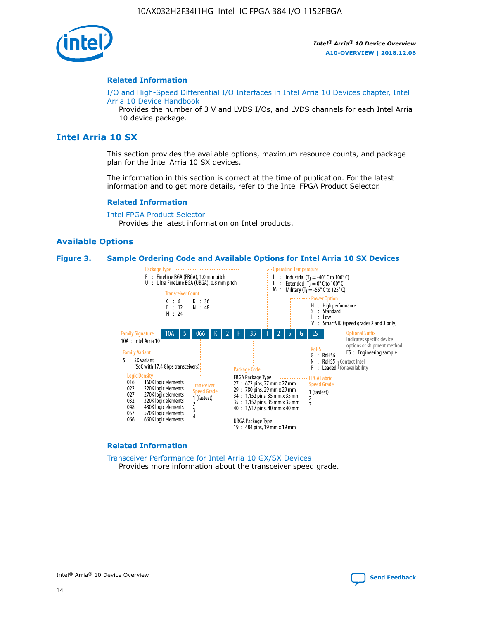

#### **Related Information**

[I/O and High-Speed Differential I/O Interfaces in Intel Arria 10 Devices chapter, Intel](https://www.intel.com/content/www/us/en/programmable/documentation/sam1403482614086.html#sam1403482030321) [Arria 10 Device Handbook](https://www.intel.com/content/www/us/en/programmable/documentation/sam1403482614086.html#sam1403482030321)

Provides the number of 3 V and LVDS I/Os, and LVDS channels for each Intel Arria 10 device package.

## **Intel Arria 10 SX**

This section provides the available options, maximum resource counts, and package plan for the Intel Arria 10 SX devices.

The information in this section is correct at the time of publication. For the latest information and to get more details, refer to the Intel FPGA Product Selector.

#### **Related Information**

[Intel FPGA Product Selector](http://www.altera.com/products/selector/psg-selector.html) Provides the latest information on Intel products.

## **Available Options**

#### **Figure 3. Sample Ordering Code and Available Options for Intel Arria 10 SX Devices**



#### **Related Information**

[Transceiver Performance for Intel Arria 10 GX/SX Devices](https://www.intel.com/content/www/us/en/programmable/documentation/mcn1413182292568.html#mcn1413213965502) Provides more information about the transceiver speed grade.

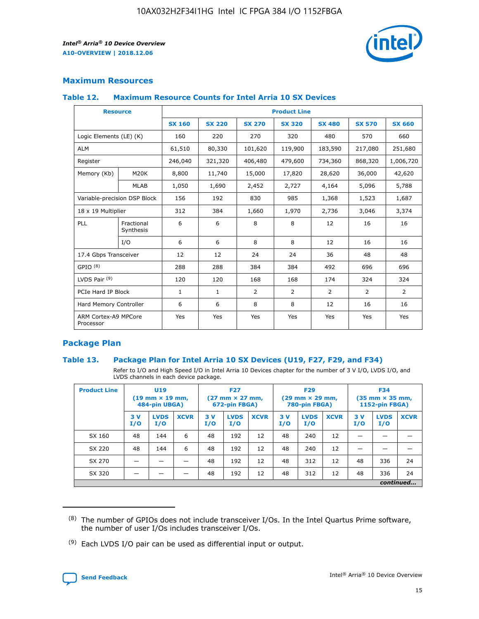

## **Maximum Resources**

## **Table 12. Maximum Resource Counts for Intel Arria 10 SX Devices**

| <b>Resource</b>                   |                         | <b>Product Line</b> |               |               |                |               |               |               |  |  |
|-----------------------------------|-------------------------|---------------------|---------------|---------------|----------------|---------------|---------------|---------------|--|--|
|                                   |                         | <b>SX 160</b>       | <b>SX 220</b> | <b>SX 270</b> | <b>SX 320</b>  | <b>SX 480</b> | <b>SX 570</b> | <b>SX 660</b> |  |  |
| Logic Elements (LE) (K)           |                         | 160                 | 220           | 270           | 320            | 480           | 570           | 660           |  |  |
| <b>ALM</b>                        |                         | 61,510              | 80,330        | 101,620       | 119,900        | 183,590       | 217,080       | 251,680       |  |  |
| Register                          |                         | 246,040             | 321,320       | 406,480       | 479,600        | 734,360       | 868,320       | 1,006,720     |  |  |
| Memory (Kb)                       | M20K                    | 8,800               | 11,740        | 15,000        | 17,820         | 28,620        | 36,000        | 42,620        |  |  |
|                                   | <b>MLAB</b>             | 1,050               | 1,690         | 2,452         | 2,727          | 4,164         | 5,096         | 5,788         |  |  |
| Variable-precision DSP Block      |                         | 156                 | 192           | 830           | 985            | 1,368         | 1,523         | 1,687         |  |  |
| 18 x 19 Multiplier                |                         | 312                 | 384           | 1,660         | 1,970          | 2,736         | 3,046         | 3,374         |  |  |
| PLL                               | Fractional<br>Synthesis | 6                   | 6             | 8             | 8              | 12            | 16            | 16            |  |  |
|                                   | I/O                     | 6                   | 6             | 8             | 8              | 12            | 16            | 16            |  |  |
| 17.4 Gbps Transceiver             |                         | 12                  | 12            | 24            | 24             | 36            | 48            | 48            |  |  |
| GPIO <sup>(8)</sup>               |                         | 288                 | 288           | 384           | 384            | 492           | 696           | 696           |  |  |
| LVDS Pair $(9)$                   |                         | 120                 | 120           | 168           | 168            | 174           | 324           | 324           |  |  |
| PCIe Hard IP Block                |                         | $\mathbf{1}$        | $\mathbf{1}$  | 2             | $\overline{2}$ | 2             | 2             | 2             |  |  |
| Hard Memory Controller            |                         | 6                   | 6             | 8             | 8              | 12            | 16            | 16            |  |  |
| ARM Cortex-A9 MPCore<br>Processor |                         | Yes                 | Yes           | Yes           | Yes            | Yes           | Yes           | Yes           |  |  |

## **Package Plan**

## **Table 13. Package Plan for Intel Arria 10 SX Devices (U19, F27, F29, and F34)**

Refer to I/O and High Speed I/O in Intel Arria 10 Devices chapter for the number of 3 V I/O, LVDS I/O, and LVDS channels in each device package.

| <b>Product Line</b> | <b>U19</b><br>$(19 \text{ mm} \times 19 \text{ mm})$<br>484-pin UBGA) |                    |             | <b>F27</b><br>$(27 \text{ mm} \times 27 \text{ mm})$<br>672-pin FBGA) |                    | <b>F29</b><br>$(29 \text{ mm} \times 29 \text{ mm})$<br>780-pin FBGA) |           |                    | <b>F34</b><br>$(35 \text{ mm} \times 35 \text{ mm})$<br><b>1152-pin FBGA)</b> |           |                    |             |
|---------------------|-----------------------------------------------------------------------|--------------------|-------------|-----------------------------------------------------------------------|--------------------|-----------------------------------------------------------------------|-----------|--------------------|-------------------------------------------------------------------------------|-----------|--------------------|-------------|
|                     | 3V<br>I/O                                                             | <b>LVDS</b><br>I/O | <b>XCVR</b> | 3V<br>I/O                                                             | <b>LVDS</b><br>I/O | <b>XCVR</b>                                                           | 3V<br>I/O | <b>LVDS</b><br>I/O | <b>XCVR</b>                                                                   | 3V<br>I/O | <b>LVDS</b><br>I/O | <b>XCVR</b> |
| SX 160              | 48                                                                    | 144                | 6           | 48                                                                    | 192                | 12                                                                    | 48        | 240                | 12                                                                            | -         |                    |             |
| SX 220              | 48                                                                    | 144                | 6           | 48                                                                    | 192                | 12                                                                    | 48        | 240                | 12                                                                            |           |                    |             |
| SX 270              |                                                                       |                    |             | 48                                                                    | 192                | 12                                                                    | 48        | 312                | 12                                                                            | 48        | 336                | 24          |
| SX 320              |                                                                       |                    |             | 48                                                                    | 192                | 12                                                                    | 48        | 312                | 12                                                                            | 48        | 336                | 24          |
|                     | continued                                                             |                    |             |                                                                       |                    |                                                                       |           |                    |                                                                               |           |                    |             |

 $(8)$  The number of GPIOs does not include transceiver I/Os. In the Intel Quartus Prime software, the number of user I/Os includes transceiver I/Os.

 $(9)$  Each LVDS I/O pair can be used as differential input or output.

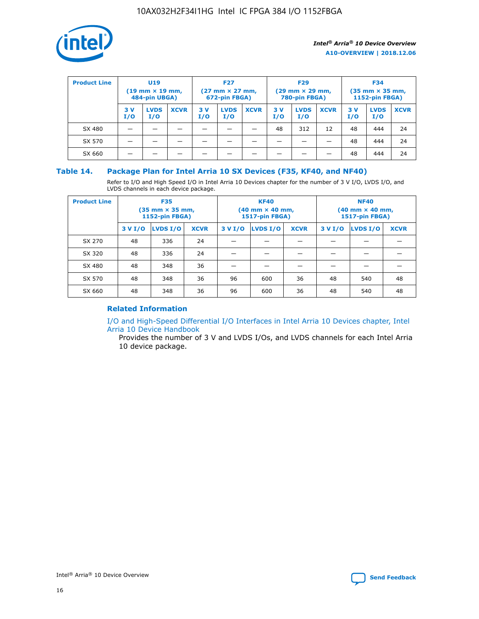

| <b>Product Line</b> | U <sub>19</sub><br>$(19 \text{ mm} \times 19 \text{ mm})$<br>484-pin UBGA) |                    | <b>F27</b><br>$(27 \text{ mm} \times 27 \text{ mm})$<br>672-pin FBGA) |            | <b>F29</b><br>$(29 \text{ mm} \times 29 \text{ mm})$<br>780-pin FBGA) |             |           | <b>F34</b><br>$(35 \text{ mm} \times 35 \text{ mm})$<br><b>1152-pin FBGA)</b> |             |           |                    |             |
|---------------------|----------------------------------------------------------------------------|--------------------|-----------------------------------------------------------------------|------------|-----------------------------------------------------------------------|-------------|-----------|-------------------------------------------------------------------------------|-------------|-----------|--------------------|-------------|
|                     | 3 V<br>I/O                                                                 | <b>LVDS</b><br>I/O | <b>XCVR</b>                                                           | 3 V<br>I/O | <b>LVDS</b><br>I/O                                                    | <b>XCVR</b> | 3V<br>I/O | <b>LVDS</b><br>I/O                                                            | <b>XCVR</b> | 3V<br>I/O | <b>LVDS</b><br>I/O | <b>XCVR</b> |
| SX 480              |                                                                            |                    |                                                                       |            |                                                                       |             | 48        | 312                                                                           | 12          | 48        | 444                | 24          |
| SX 570              |                                                                            |                    |                                                                       |            |                                                                       |             |           |                                                                               |             | 48        | 444                | 24          |
| SX 660              |                                                                            |                    |                                                                       |            |                                                                       |             |           |                                                                               |             | 48        | 444                | 24          |

## **Table 14. Package Plan for Intel Arria 10 SX Devices (F35, KF40, and NF40)**

Refer to I/O and High Speed I/O in Intel Arria 10 Devices chapter for the number of 3 V I/O, LVDS I/O, and LVDS channels in each device package.

| <b>Product Line</b> | <b>F35</b><br>$(35 \text{ mm} \times 35 \text{ mm})$<br><b>1152-pin FBGA)</b> |          |             |                                           | <b>KF40</b><br>(40 mm × 40 mm,<br>1517-pin FBGA) |    | <b>NF40</b><br>$(40 \text{ mm} \times 40 \text{ mm})$<br>1517-pin FBGA) |          |             |  |
|---------------------|-------------------------------------------------------------------------------|----------|-------------|-------------------------------------------|--------------------------------------------------|----|-------------------------------------------------------------------------|----------|-------------|--|
|                     | 3 V I/O                                                                       | LVDS I/O | <b>XCVR</b> | <b>LVDS I/O</b><br><b>XCVR</b><br>3 V I/O |                                                  |    | 3 V I/O                                                                 | LVDS I/O | <b>XCVR</b> |  |
| SX 270              | 48                                                                            | 336      | 24          |                                           |                                                  |    |                                                                         |          |             |  |
| SX 320              | 48                                                                            | 336      | 24          |                                           |                                                  |    |                                                                         |          |             |  |
| SX 480              | 48                                                                            | 348      | 36          |                                           |                                                  |    |                                                                         |          |             |  |
| SX 570              | 48                                                                            | 348      | 36          | 96                                        | 600                                              | 36 | 48                                                                      | 540      | 48          |  |
| SX 660              | 48                                                                            | 348      | 36          | 96                                        | 600                                              | 36 | 48                                                                      | 540      | 48          |  |

## **Related Information**

[I/O and High-Speed Differential I/O Interfaces in Intel Arria 10 Devices chapter, Intel](https://www.intel.com/content/www/us/en/programmable/documentation/sam1403482614086.html#sam1403482030321) [Arria 10 Device Handbook](https://www.intel.com/content/www/us/en/programmable/documentation/sam1403482614086.html#sam1403482030321)

Provides the number of 3 V and LVDS I/Os, and LVDS channels for each Intel Arria 10 device package.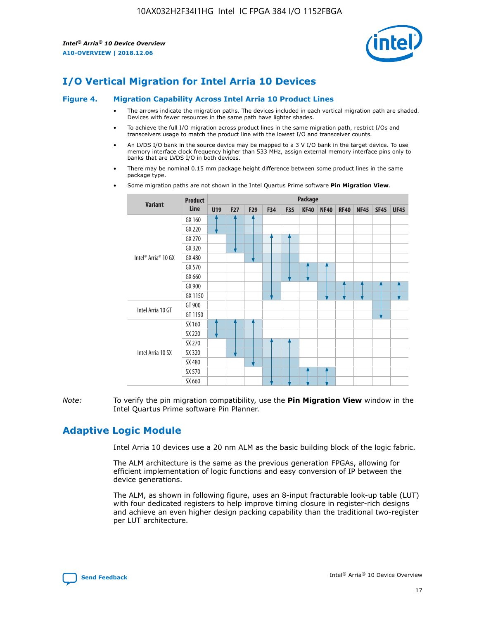

## **I/O Vertical Migration for Intel Arria 10 Devices**

#### **Figure 4. Migration Capability Across Intel Arria 10 Product Lines**

- The arrows indicate the migration paths. The devices included in each vertical migration path are shaded. Devices with fewer resources in the same path have lighter shades.
- To achieve the full I/O migration across product lines in the same migration path, restrict I/Os and transceivers usage to match the product line with the lowest I/O and transceiver counts.
- An LVDS I/O bank in the source device may be mapped to a 3 V I/O bank in the target device. To use memory interface clock frequency higher than 533 MHz, assign external memory interface pins only to banks that are LVDS I/O in both devices.
- There may be nominal 0.15 mm package height difference between some product lines in the same package type.
	- **Variant Product Line Package U19 F27 F29 F34 F35 KF40 NF40 RF40 NF45 SF45 UF45** Intel® Arria® 10 GX GX 160 GX 220 GX 270 GX 320 GX 480 GX 570 GX 660 GX 900 GX 1150 Intel Arria 10 GT GT 900 GT 1150 Intel Arria 10 SX SX 160 SX 220 SX 270 SX 320 SX 480 SX 570 SX 660
- Some migration paths are not shown in the Intel Quartus Prime software **Pin Migration View**.

*Note:* To verify the pin migration compatibility, use the **Pin Migration View** window in the Intel Quartus Prime software Pin Planner.

## **Adaptive Logic Module**

Intel Arria 10 devices use a 20 nm ALM as the basic building block of the logic fabric.

The ALM architecture is the same as the previous generation FPGAs, allowing for efficient implementation of logic functions and easy conversion of IP between the device generations.

The ALM, as shown in following figure, uses an 8-input fracturable look-up table (LUT) with four dedicated registers to help improve timing closure in register-rich designs and achieve an even higher design packing capability than the traditional two-register per LUT architecture.

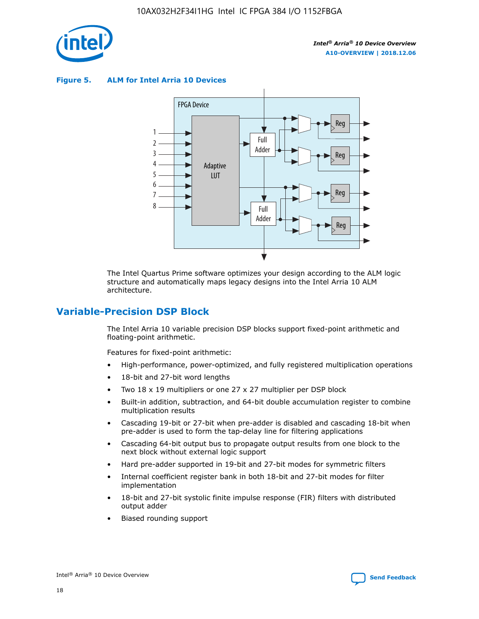

**Figure 5. ALM for Intel Arria 10 Devices**



The Intel Quartus Prime software optimizes your design according to the ALM logic structure and automatically maps legacy designs into the Intel Arria 10 ALM architecture.

## **Variable-Precision DSP Block**

The Intel Arria 10 variable precision DSP blocks support fixed-point arithmetic and floating-point arithmetic.

Features for fixed-point arithmetic:

- High-performance, power-optimized, and fully registered multiplication operations
- 18-bit and 27-bit word lengths
- Two 18 x 19 multipliers or one 27 x 27 multiplier per DSP block
- Built-in addition, subtraction, and 64-bit double accumulation register to combine multiplication results
- Cascading 19-bit or 27-bit when pre-adder is disabled and cascading 18-bit when pre-adder is used to form the tap-delay line for filtering applications
- Cascading 64-bit output bus to propagate output results from one block to the next block without external logic support
- Hard pre-adder supported in 19-bit and 27-bit modes for symmetric filters
- Internal coefficient register bank in both 18-bit and 27-bit modes for filter implementation
- 18-bit and 27-bit systolic finite impulse response (FIR) filters with distributed output adder
- Biased rounding support

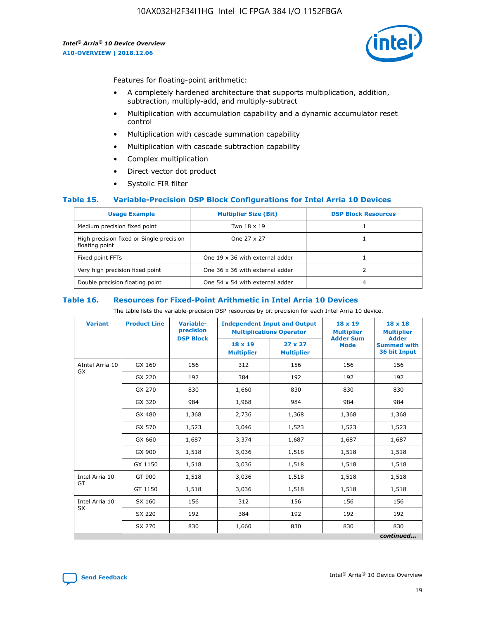

Features for floating-point arithmetic:

- A completely hardened architecture that supports multiplication, addition, subtraction, multiply-add, and multiply-subtract
- Multiplication with accumulation capability and a dynamic accumulator reset control
- Multiplication with cascade summation capability
- Multiplication with cascade subtraction capability
- Complex multiplication
- Direct vector dot product
- Systolic FIR filter

## **Table 15. Variable-Precision DSP Block Configurations for Intel Arria 10 Devices**

| <b>Usage Example</b>                                       | <b>Multiplier Size (Bit)</b>    | <b>DSP Block Resources</b> |
|------------------------------------------------------------|---------------------------------|----------------------------|
| Medium precision fixed point                               | Two 18 x 19                     |                            |
| High precision fixed or Single precision<br>floating point | One 27 x 27                     |                            |
| Fixed point FFTs                                           | One 19 x 36 with external adder |                            |
| Very high precision fixed point                            | One 36 x 36 with external adder |                            |
| Double precision floating point                            | One 54 x 54 with external adder | 4                          |

#### **Table 16. Resources for Fixed-Point Arithmetic in Intel Arria 10 Devices**

The table lists the variable-precision DSP resources by bit precision for each Intel Arria 10 device.

| <b>Variant</b>  | <b>Product Line</b> | <b>Variable-</b><br>precision<br><b>DSP Block</b> | <b>Independent Input and Output</b><br><b>Multiplications Operator</b> |                                     | 18 x 19<br><b>Multiplier</b><br><b>Adder Sum</b> | $18 \times 18$<br><b>Multiplier</b><br><b>Adder</b> |
|-----------------|---------------------|---------------------------------------------------|------------------------------------------------------------------------|-------------------------------------|--------------------------------------------------|-----------------------------------------------------|
|                 |                     |                                                   | 18 x 19<br><b>Multiplier</b>                                           | $27 \times 27$<br><b>Multiplier</b> | <b>Mode</b>                                      | <b>Summed with</b><br>36 bit Input                  |
| AIntel Arria 10 | GX 160              | 156                                               | 312                                                                    | 156                                 | 156                                              | 156                                                 |
| GX              | GX 220              | 192                                               | 384                                                                    | 192                                 | 192                                              | 192                                                 |
|                 | GX 270              | 830                                               | 1,660                                                                  | 830                                 | 830                                              | 830                                                 |
|                 | GX 320              | 984                                               | 1,968                                                                  | 984                                 | 984                                              | 984                                                 |
|                 | GX 480              | 1,368                                             | 2,736                                                                  | 1,368                               | 1,368                                            | 1,368                                               |
|                 | GX 570              | 1,523                                             | 3,046                                                                  | 1,523                               | 1,523                                            | 1,523                                               |
|                 | GX 660              | 1,687                                             | 3,374                                                                  | 1,687                               | 1,687                                            | 1,687                                               |
|                 | GX 900              | 1,518                                             | 3,036                                                                  | 1,518                               | 1,518                                            | 1,518                                               |
|                 | GX 1150             | 1,518                                             | 3,036                                                                  | 1,518                               | 1,518                                            | 1,518                                               |
| Intel Arria 10  | GT 900              | 1,518                                             | 3,036                                                                  | 1,518                               | 1,518                                            | 1,518                                               |
| GT              | GT 1150             | 1,518                                             | 3,036                                                                  | 1,518                               | 1,518                                            | 1,518                                               |
| Intel Arria 10  | SX 160              | 156                                               | 312                                                                    | 156                                 | 156                                              | 156                                                 |
| <b>SX</b>       | SX 220              | 192                                               | 384                                                                    | 192                                 | 192                                              | 192                                                 |
|                 | SX 270              | 830                                               | 1,660                                                                  | 830                                 | 830                                              | 830                                                 |
|                 |                     |                                                   |                                                                        |                                     |                                                  | continued                                           |

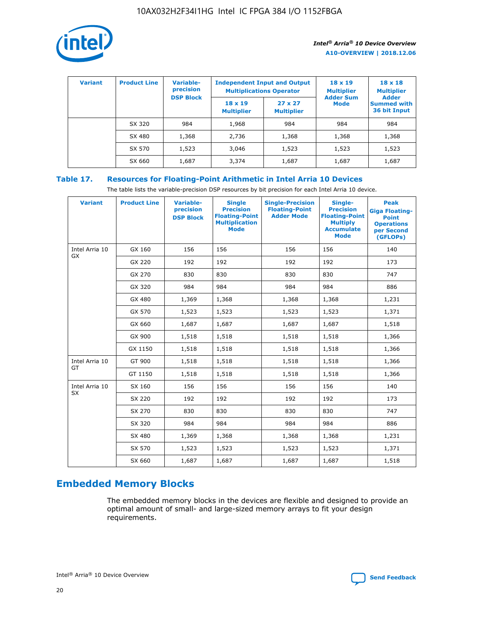

| <b>Variant</b> | <b>Product Line</b> | <b>Variable-</b><br>precision<br><b>DSP Block</b> | <b>Independent Input and Output</b><br><b>Multiplications Operator</b> |                                     | $18 \times 19$<br><b>Multiplier</b><br><b>Adder Sum</b> | $18 \times 18$<br><b>Multiplier</b><br><b>Adder</b> |  |
|----------------|---------------------|---------------------------------------------------|------------------------------------------------------------------------|-------------------------------------|---------------------------------------------------------|-----------------------------------------------------|--|
|                |                     |                                                   | $18 \times 19$<br><b>Multiplier</b>                                    | $27 \times 27$<br><b>Multiplier</b> | <b>Mode</b>                                             | <b>Summed with</b><br>36 bit Input                  |  |
|                | SX 320              | 984                                               | 1,968                                                                  | 984                                 | 984                                                     | 984                                                 |  |
|                | SX 480              | 1,368                                             | 2,736                                                                  | 1,368                               | 1,368                                                   | 1,368                                               |  |
|                | SX 570              | 1,523                                             | 3,046                                                                  | 1,523                               | 1,523                                                   | 1,523                                               |  |
|                | SX 660              | 1,687                                             | 3,374                                                                  | 1,687                               | 1,687                                                   | 1,687                                               |  |

## **Table 17. Resources for Floating-Point Arithmetic in Intel Arria 10 Devices**

The table lists the variable-precision DSP resources by bit precision for each Intel Arria 10 device.

| <b>Variant</b> | <b>Product Line</b> | <b>Variable-</b><br>precision<br><b>DSP Block</b> | <b>Single</b><br><b>Precision</b><br><b>Floating-Point</b><br><b>Multiplication</b><br><b>Mode</b> | <b>Single-Precision</b><br><b>Floating-Point</b><br><b>Adder Mode</b> | Single-<br><b>Precision</b><br><b>Floating-Point</b><br><b>Multiply</b><br><b>Accumulate</b><br><b>Mode</b> | <b>Peak</b><br><b>Giga Floating-</b><br><b>Point</b><br><b>Operations</b><br>per Second<br>(GFLOPs) |
|----------------|---------------------|---------------------------------------------------|----------------------------------------------------------------------------------------------------|-----------------------------------------------------------------------|-------------------------------------------------------------------------------------------------------------|-----------------------------------------------------------------------------------------------------|
| Intel Arria 10 | GX 160              | 156                                               | 156                                                                                                | 156                                                                   | 156                                                                                                         | 140                                                                                                 |
| GX             | GX 220              | 192                                               | 192                                                                                                | 192                                                                   | 192                                                                                                         | 173                                                                                                 |
|                | GX 270              | 830                                               | 830                                                                                                | 830                                                                   | 830                                                                                                         | 747                                                                                                 |
|                | GX 320              | 984                                               | 984                                                                                                | 984                                                                   | 984                                                                                                         | 886                                                                                                 |
|                | GX 480              | 1,369                                             | 1,368                                                                                              | 1,368                                                                 | 1,368                                                                                                       | 1,231                                                                                               |
|                | GX 570              | 1,523                                             | 1,523                                                                                              | 1,523                                                                 | 1,523                                                                                                       | 1,371                                                                                               |
|                | GX 660              | 1,687                                             | 1,687                                                                                              | 1,687                                                                 | 1,687                                                                                                       | 1,518                                                                                               |
|                | GX 900              | 1,518                                             | 1,518                                                                                              | 1,518                                                                 | 1,518                                                                                                       | 1,366                                                                                               |
|                | GX 1150             | 1,518                                             | 1,518                                                                                              | 1,518                                                                 | 1,518                                                                                                       | 1,366                                                                                               |
| Intel Arria 10 | GT 900              | 1,518                                             | 1,518                                                                                              | 1,518                                                                 | 1,518                                                                                                       | 1,366                                                                                               |
| GT             | GT 1150             | 1,518                                             | 1,518                                                                                              | 1,518                                                                 | 1,518                                                                                                       | 1,366                                                                                               |
| Intel Arria 10 | SX 160              | 156                                               | 156                                                                                                | 156                                                                   | 156                                                                                                         | 140                                                                                                 |
| <b>SX</b>      | SX 220              | 192                                               | 192                                                                                                | 192                                                                   | 192                                                                                                         | 173                                                                                                 |
|                | SX 270              | 830                                               | 830                                                                                                | 830                                                                   | 830                                                                                                         | 747                                                                                                 |
|                | SX 320              | 984                                               | 984                                                                                                | 984                                                                   | 984                                                                                                         | 886                                                                                                 |
|                | SX 480              | 1,369                                             | 1,368                                                                                              | 1,368                                                                 | 1,368                                                                                                       | 1,231                                                                                               |
|                | SX 570              | 1,523                                             | 1,523                                                                                              | 1,523                                                                 | 1,523                                                                                                       | 1,371                                                                                               |
|                | SX 660              | 1,687                                             | 1,687                                                                                              | 1,687                                                                 | 1,687                                                                                                       | 1,518                                                                                               |

## **Embedded Memory Blocks**

The embedded memory blocks in the devices are flexible and designed to provide an optimal amount of small- and large-sized memory arrays to fit your design requirements.

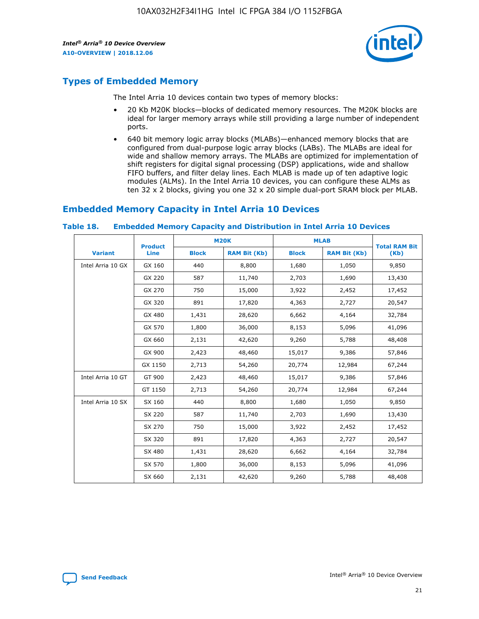

## **Types of Embedded Memory**

The Intel Arria 10 devices contain two types of memory blocks:

- 20 Kb M20K blocks—blocks of dedicated memory resources. The M20K blocks are ideal for larger memory arrays while still providing a large number of independent ports.
- 640 bit memory logic array blocks (MLABs)—enhanced memory blocks that are configured from dual-purpose logic array blocks (LABs). The MLABs are ideal for wide and shallow memory arrays. The MLABs are optimized for implementation of shift registers for digital signal processing (DSP) applications, wide and shallow FIFO buffers, and filter delay lines. Each MLAB is made up of ten adaptive logic modules (ALMs). In the Intel Arria 10 devices, you can configure these ALMs as ten 32 x 2 blocks, giving you one 32 x 20 simple dual-port SRAM block per MLAB.

## **Embedded Memory Capacity in Intel Arria 10 Devices**

|                   | <b>Product</b> |              | <b>M20K</b>         |              | <b>MLAB</b>         | <b>Total RAM Bit</b> |
|-------------------|----------------|--------------|---------------------|--------------|---------------------|----------------------|
| <b>Variant</b>    | Line           | <b>Block</b> | <b>RAM Bit (Kb)</b> | <b>Block</b> | <b>RAM Bit (Kb)</b> | (Kb)                 |
| Intel Arria 10 GX | GX 160         | 440          | 8,800               | 1,680        | 1,050               | 9,850                |
|                   | GX 220         | 587          | 11,740              | 2,703        | 1,690               | 13,430               |
|                   | GX 270         | 750          | 15,000              | 3,922        | 2,452               | 17,452               |
|                   | GX 320         | 891          | 17,820              | 4,363        | 2,727               | 20,547               |
|                   | GX 480         | 1,431        | 28,620              | 6,662        | 4,164               | 32,784               |
|                   | GX 570         | 1,800        | 36,000              | 8,153        | 5,096               | 41,096               |
|                   | GX 660         | 2,131        | 42,620              | 9,260        | 5,788               | 48,408               |
|                   | GX 900         | 2,423        | 48,460              | 15,017       | 9,386               | 57,846               |
|                   | GX 1150        | 2,713        | 54,260              | 20,774       | 12,984              | 67,244               |
| Intel Arria 10 GT | GT 900         | 2,423        | 48,460              | 15,017       | 9,386               | 57,846               |
|                   | GT 1150        | 2,713        | 54,260              | 20,774       | 12,984              | 67,244               |
| Intel Arria 10 SX | SX 160         | 440          | 8,800               | 1,680        | 1,050               | 9,850                |
|                   | SX 220         | 587          | 11,740              | 2,703        | 1,690               | 13,430               |
|                   | SX 270         | 750          | 15,000              | 3,922        | 2,452               | 17,452               |
|                   | SX 320         | 891          | 17,820              | 4,363        | 2,727               | 20,547               |
|                   | SX 480         | 1,431        | 28,620              | 6,662        | 4,164               | 32,784               |
|                   | SX 570         | 1,800        | 36,000              | 8,153        | 5,096               | 41,096               |
|                   | SX 660         | 2,131        | 42,620              | 9,260        | 5,788               | 48,408               |

#### **Table 18. Embedded Memory Capacity and Distribution in Intel Arria 10 Devices**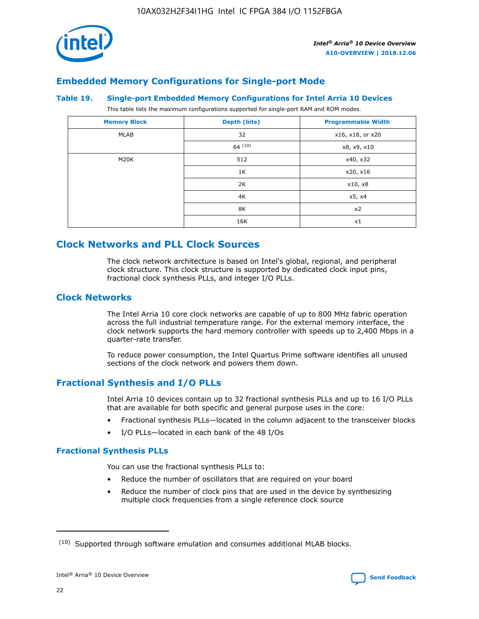

## **Embedded Memory Configurations for Single-port Mode**

#### **Table 19. Single-port Embedded Memory Configurations for Intel Arria 10 Devices**

This table lists the maximum configurations supported for single-port RAM and ROM modes.

| <b>Memory Block</b> | Depth (bits)           | <b>Programmable Width</b> |
|---------------------|------------------------|---------------------------|
| MLAB                | 32<br>x16, x18, or x20 |                           |
|                     | 64(10)                 | x8, x9, x10               |
| M20K                | 512                    | x40, x32                  |
|                     | 1K                     | x20, x16                  |
|                     | 2K                     | x10, x8                   |
|                     | 4K                     | x5, x4                    |
|                     | 8K                     | x2                        |
|                     | 16K                    | x1                        |

## **Clock Networks and PLL Clock Sources**

The clock network architecture is based on Intel's global, regional, and peripheral clock structure. This clock structure is supported by dedicated clock input pins, fractional clock synthesis PLLs, and integer I/O PLLs.

## **Clock Networks**

The Intel Arria 10 core clock networks are capable of up to 800 MHz fabric operation across the full industrial temperature range. For the external memory interface, the clock network supports the hard memory controller with speeds up to 2,400 Mbps in a quarter-rate transfer.

To reduce power consumption, the Intel Quartus Prime software identifies all unused sections of the clock network and powers them down.

## **Fractional Synthesis and I/O PLLs**

Intel Arria 10 devices contain up to 32 fractional synthesis PLLs and up to 16 I/O PLLs that are available for both specific and general purpose uses in the core:

- Fractional synthesis PLLs—located in the column adjacent to the transceiver blocks
- I/O PLLs—located in each bank of the 48 I/Os

## **Fractional Synthesis PLLs**

You can use the fractional synthesis PLLs to:

- Reduce the number of oscillators that are required on your board
- Reduce the number of clock pins that are used in the device by synthesizing multiple clock frequencies from a single reference clock source

<sup>(10)</sup> Supported through software emulation and consumes additional MLAB blocks.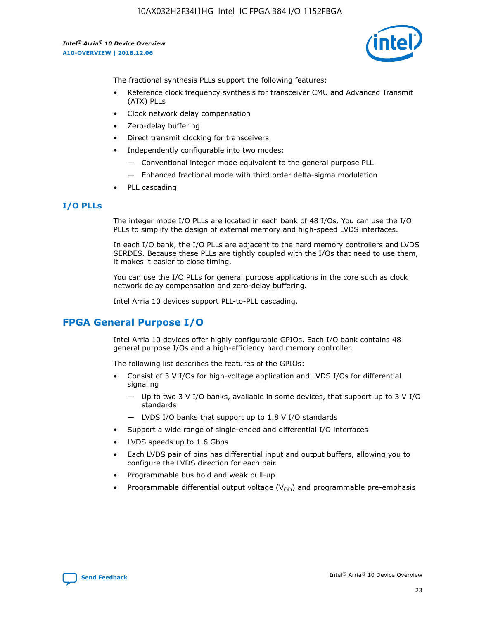

The fractional synthesis PLLs support the following features:

- Reference clock frequency synthesis for transceiver CMU and Advanced Transmit (ATX) PLLs
- Clock network delay compensation
- Zero-delay buffering
- Direct transmit clocking for transceivers
- Independently configurable into two modes:
	- Conventional integer mode equivalent to the general purpose PLL
	- Enhanced fractional mode with third order delta-sigma modulation
- PLL cascading

## **I/O PLLs**

The integer mode I/O PLLs are located in each bank of 48 I/Os. You can use the I/O PLLs to simplify the design of external memory and high-speed LVDS interfaces.

In each I/O bank, the I/O PLLs are adjacent to the hard memory controllers and LVDS SERDES. Because these PLLs are tightly coupled with the I/Os that need to use them, it makes it easier to close timing.

You can use the I/O PLLs for general purpose applications in the core such as clock network delay compensation and zero-delay buffering.

Intel Arria 10 devices support PLL-to-PLL cascading.

## **FPGA General Purpose I/O**

Intel Arria 10 devices offer highly configurable GPIOs. Each I/O bank contains 48 general purpose I/Os and a high-efficiency hard memory controller.

The following list describes the features of the GPIOs:

- Consist of 3 V I/Os for high-voltage application and LVDS I/Os for differential signaling
	- Up to two 3 V I/O banks, available in some devices, that support up to 3 V I/O standards
	- LVDS I/O banks that support up to 1.8 V I/O standards
- Support a wide range of single-ended and differential I/O interfaces
- LVDS speeds up to 1.6 Gbps
- Each LVDS pair of pins has differential input and output buffers, allowing you to configure the LVDS direction for each pair.
- Programmable bus hold and weak pull-up
- Programmable differential output voltage  $(V_{OD})$  and programmable pre-emphasis

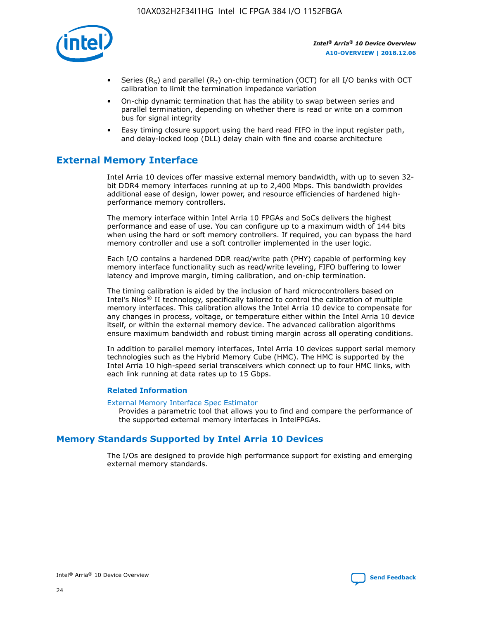

- Series (R<sub>S</sub>) and parallel (R<sub>T</sub>) on-chip termination (OCT) for all I/O banks with OCT calibration to limit the termination impedance variation
- On-chip dynamic termination that has the ability to swap between series and parallel termination, depending on whether there is read or write on a common bus for signal integrity
- Easy timing closure support using the hard read FIFO in the input register path, and delay-locked loop (DLL) delay chain with fine and coarse architecture

## **External Memory Interface**

Intel Arria 10 devices offer massive external memory bandwidth, with up to seven 32 bit DDR4 memory interfaces running at up to 2,400 Mbps. This bandwidth provides additional ease of design, lower power, and resource efficiencies of hardened highperformance memory controllers.

The memory interface within Intel Arria 10 FPGAs and SoCs delivers the highest performance and ease of use. You can configure up to a maximum width of 144 bits when using the hard or soft memory controllers. If required, you can bypass the hard memory controller and use a soft controller implemented in the user logic.

Each I/O contains a hardened DDR read/write path (PHY) capable of performing key memory interface functionality such as read/write leveling, FIFO buffering to lower latency and improve margin, timing calibration, and on-chip termination.

The timing calibration is aided by the inclusion of hard microcontrollers based on Intel's Nios® II technology, specifically tailored to control the calibration of multiple memory interfaces. This calibration allows the Intel Arria 10 device to compensate for any changes in process, voltage, or temperature either within the Intel Arria 10 device itself, or within the external memory device. The advanced calibration algorithms ensure maximum bandwidth and robust timing margin across all operating conditions.

In addition to parallel memory interfaces, Intel Arria 10 devices support serial memory technologies such as the Hybrid Memory Cube (HMC). The HMC is supported by the Intel Arria 10 high-speed serial transceivers which connect up to four HMC links, with each link running at data rates up to 15 Gbps.

## **Related Information**

#### [External Memory Interface Spec Estimator](http://www.altera.com/technology/memory/estimator/mem-emif-index.html)

Provides a parametric tool that allows you to find and compare the performance of the supported external memory interfaces in IntelFPGAs.

## **Memory Standards Supported by Intel Arria 10 Devices**

The I/Os are designed to provide high performance support for existing and emerging external memory standards.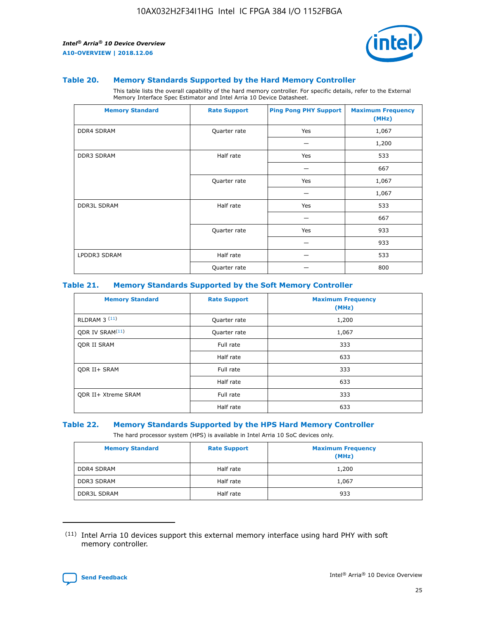

#### **Table 20. Memory Standards Supported by the Hard Memory Controller**

This table lists the overall capability of the hard memory controller. For specific details, refer to the External Memory Interface Spec Estimator and Intel Arria 10 Device Datasheet.

| <b>Memory Standard</b> | <b>Rate Support</b> | <b>Ping Pong PHY Support</b> | <b>Maximum Frequency</b><br>(MHz) |
|------------------------|---------------------|------------------------------|-----------------------------------|
| <b>DDR4 SDRAM</b>      | Quarter rate        | Yes                          | 1,067                             |
|                        |                     |                              | 1,200                             |
| <b>DDR3 SDRAM</b>      | Half rate           | Yes                          | 533                               |
|                        |                     |                              | 667                               |
|                        | Quarter rate        | Yes                          | 1,067                             |
|                        |                     |                              | 1,067                             |
| <b>DDR3L SDRAM</b>     | Half rate           | Yes                          | 533                               |
|                        |                     |                              | 667                               |
|                        | Quarter rate        | Yes                          | 933                               |
|                        |                     |                              | 933                               |
| LPDDR3 SDRAM           | Half rate           |                              | 533                               |
|                        | Quarter rate        |                              | 800                               |

## **Table 21. Memory Standards Supported by the Soft Memory Controller**

| <b>Memory Standard</b>      | <b>Rate Support</b> | <b>Maximum Frequency</b><br>(MHz) |
|-----------------------------|---------------------|-----------------------------------|
| <b>RLDRAM 3 (11)</b>        | Quarter rate        | 1,200                             |
| ODR IV SRAM <sup>(11)</sup> | Quarter rate        | 1,067                             |
| <b>ODR II SRAM</b>          | Full rate           | 333                               |
|                             | Half rate           | 633                               |
| <b>ODR II+ SRAM</b>         | Full rate           | 333                               |
|                             | Half rate           | 633                               |
| <b>ODR II+ Xtreme SRAM</b>  | Full rate           | 333                               |
|                             | Half rate           | 633                               |

#### **Table 22. Memory Standards Supported by the HPS Hard Memory Controller**

The hard processor system (HPS) is available in Intel Arria 10 SoC devices only.

| <b>Memory Standard</b> | <b>Rate Support</b> | <b>Maximum Frequency</b><br>(MHz) |
|------------------------|---------------------|-----------------------------------|
| <b>DDR4 SDRAM</b>      | Half rate           | 1,200                             |
| <b>DDR3 SDRAM</b>      | Half rate           | 1,067                             |
| <b>DDR3L SDRAM</b>     | Half rate           | 933                               |

<sup>(11)</sup> Intel Arria 10 devices support this external memory interface using hard PHY with soft memory controller.

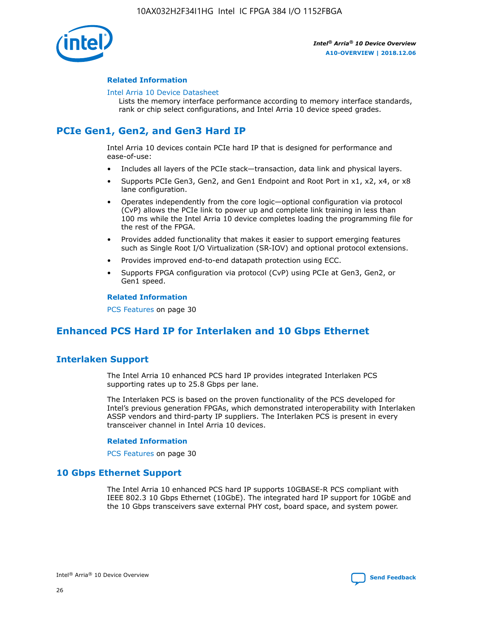

## **Related Information**

#### [Intel Arria 10 Device Datasheet](https://www.intel.com/content/www/us/en/programmable/documentation/mcn1413182292568.html#mcn1413182153340)

Lists the memory interface performance according to memory interface standards, rank or chip select configurations, and Intel Arria 10 device speed grades.

## **PCIe Gen1, Gen2, and Gen3 Hard IP**

Intel Arria 10 devices contain PCIe hard IP that is designed for performance and ease-of-use:

- Includes all layers of the PCIe stack—transaction, data link and physical layers.
- Supports PCIe Gen3, Gen2, and Gen1 Endpoint and Root Port in x1, x2, x4, or x8 lane configuration.
- Operates independently from the core logic—optional configuration via protocol (CvP) allows the PCIe link to power up and complete link training in less than 100 ms while the Intel Arria 10 device completes loading the programming file for the rest of the FPGA.
- Provides added functionality that makes it easier to support emerging features such as Single Root I/O Virtualization (SR-IOV) and optional protocol extensions.
- Provides improved end-to-end datapath protection using ECC.
- Supports FPGA configuration via protocol (CvP) using PCIe at Gen3, Gen2, or Gen1 speed.

#### **Related Information**

PCS Features on page 30

## **Enhanced PCS Hard IP for Interlaken and 10 Gbps Ethernet**

## **Interlaken Support**

The Intel Arria 10 enhanced PCS hard IP provides integrated Interlaken PCS supporting rates up to 25.8 Gbps per lane.

The Interlaken PCS is based on the proven functionality of the PCS developed for Intel's previous generation FPGAs, which demonstrated interoperability with Interlaken ASSP vendors and third-party IP suppliers. The Interlaken PCS is present in every transceiver channel in Intel Arria 10 devices.

#### **Related Information**

PCS Features on page 30

## **10 Gbps Ethernet Support**

The Intel Arria 10 enhanced PCS hard IP supports 10GBASE-R PCS compliant with IEEE 802.3 10 Gbps Ethernet (10GbE). The integrated hard IP support for 10GbE and the 10 Gbps transceivers save external PHY cost, board space, and system power.



Intel® Arria® 10 Device Overview **[Send Feedback](mailto:FPGAtechdocfeedback@intel.com?subject=Feedback%20on%20Intel%20Arria%2010%20Device%20Overview%20(A10-OVERVIEW%202018.12.06)&body=We%20appreciate%20your%20feedback.%20In%20your%20comments,%20also%20specify%20the%20page%20number%20or%20paragraph.%20Thank%20you.)**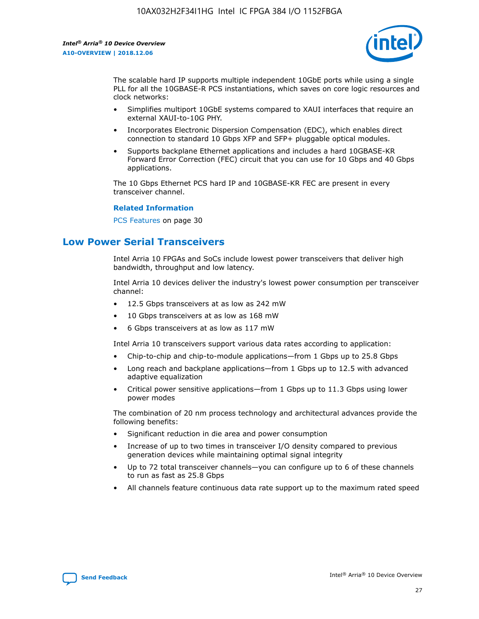

The scalable hard IP supports multiple independent 10GbE ports while using a single PLL for all the 10GBASE-R PCS instantiations, which saves on core logic resources and clock networks:

- Simplifies multiport 10GbE systems compared to XAUI interfaces that require an external XAUI-to-10G PHY.
- Incorporates Electronic Dispersion Compensation (EDC), which enables direct connection to standard 10 Gbps XFP and SFP+ pluggable optical modules.
- Supports backplane Ethernet applications and includes a hard 10GBASE-KR Forward Error Correction (FEC) circuit that you can use for 10 Gbps and 40 Gbps applications.

The 10 Gbps Ethernet PCS hard IP and 10GBASE-KR FEC are present in every transceiver channel.

## **Related Information**

PCS Features on page 30

## **Low Power Serial Transceivers**

Intel Arria 10 FPGAs and SoCs include lowest power transceivers that deliver high bandwidth, throughput and low latency.

Intel Arria 10 devices deliver the industry's lowest power consumption per transceiver channel:

- 12.5 Gbps transceivers at as low as 242 mW
- 10 Gbps transceivers at as low as 168 mW
- 6 Gbps transceivers at as low as 117 mW

Intel Arria 10 transceivers support various data rates according to application:

- Chip-to-chip and chip-to-module applications—from 1 Gbps up to 25.8 Gbps
- Long reach and backplane applications—from 1 Gbps up to 12.5 with advanced adaptive equalization
- Critical power sensitive applications—from 1 Gbps up to 11.3 Gbps using lower power modes

The combination of 20 nm process technology and architectural advances provide the following benefits:

- Significant reduction in die area and power consumption
- Increase of up to two times in transceiver I/O density compared to previous generation devices while maintaining optimal signal integrity
- Up to 72 total transceiver channels—you can configure up to 6 of these channels to run as fast as 25.8 Gbps
- All channels feature continuous data rate support up to the maximum rated speed

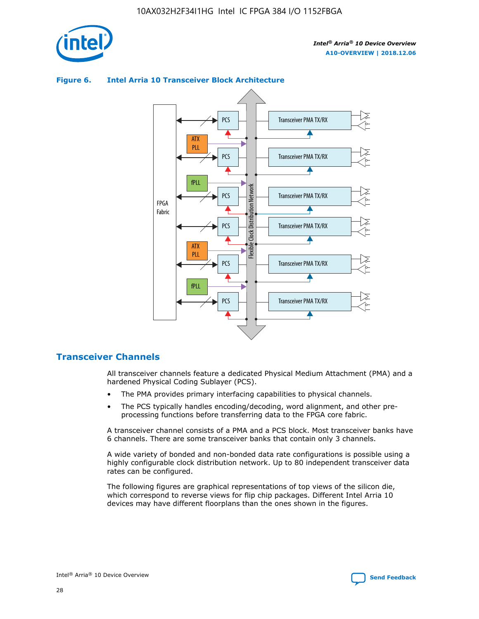





## **Transceiver Channels**

All transceiver channels feature a dedicated Physical Medium Attachment (PMA) and a hardened Physical Coding Sublayer (PCS).

- The PMA provides primary interfacing capabilities to physical channels.
- The PCS typically handles encoding/decoding, word alignment, and other preprocessing functions before transferring data to the FPGA core fabric.

A transceiver channel consists of a PMA and a PCS block. Most transceiver banks have 6 channels. There are some transceiver banks that contain only 3 channels.

A wide variety of bonded and non-bonded data rate configurations is possible using a highly configurable clock distribution network. Up to 80 independent transceiver data rates can be configured.

The following figures are graphical representations of top views of the silicon die, which correspond to reverse views for flip chip packages. Different Intel Arria 10 devices may have different floorplans than the ones shown in the figures.

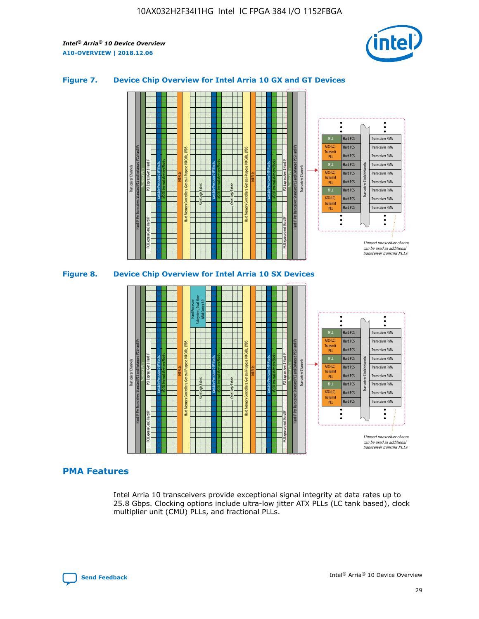

## **Figure 7. Device Chip Overview for Intel Arria 10 GX and GT Devices**



M20K Internal Memory Blocks Core Logic Fabric Transceiver Channels Hard IP Per Transceiver: Standard PCS and Enhanced PCS Hard IPs PCI Express Gen3 Hard IP Fractional PLLs M20K Internal Memory Blocks PCI Express Gen3 Hard IP Variable Precision DSP Blocks I/O PLLs Hard Memory Controllers, General-Purpose I/O Cells, LVDS Hard Processor Subsystem, Dual-Core ARM Cortex A9 M20K Internal Memory Blocks Variable Precision DSP Blocks M20K Internal Memory Blocks Core Logic Fabric I/O PLLs Hard Memory Controllers, General-Purpose I/O Cells, LVDS M20K Internal Memory Blocks Variable Precision DSP Blocks M20K Internal Memory Blocks Transceiver Channels Hard IP Per Transceiver: Standard PCS and Enhanced PCS Hard IPs PCI Express Gen3 Hard IP Fractional PLLs PCI Express Gen3 Hard IP Hard PCS Hard PCS Hard PCS Hard PCS Hard PCS Hard PCS Hard PCS Hard PCS Transceiver PMA Transceiver PMA Transceiver PMA Transceiver PMA Transceiver PMA Transceiver PMA Unused transceiver chann can be used as additional transceiver transmit PLLs Transceiver PMA Transceiver PMA Transceiver Clock Networks ATX (LC) **Transmit** PLL fPLL ATX (LC) Transmi PLL fPLL ATX (LC) **Transmit** PLL

## **PMA Features**

Intel Arria 10 transceivers provide exceptional signal integrity at data rates up to 25.8 Gbps. Clocking options include ultra-low jitter ATX PLLs (LC tank based), clock multiplier unit (CMU) PLLs, and fractional PLLs.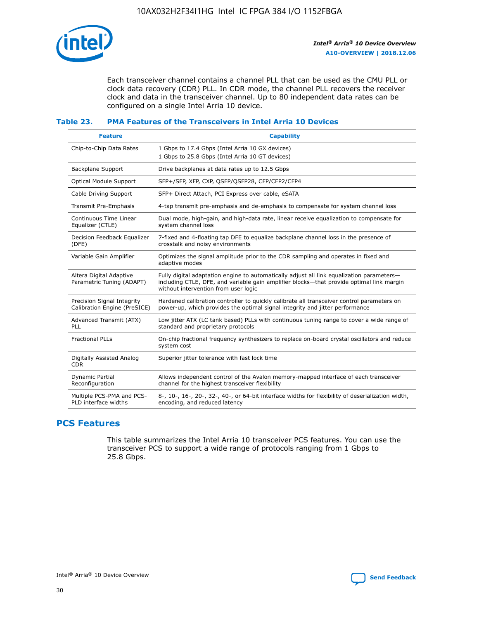

Each transceiver channel contains a channel PLL that can be used as the CMU PLL or clock data recovery (CDR) PLL. In CDR mode, the channel PLL recovers the receiver clock and data in the transceiver channel. Up to 80 independent data rates can be configured on a single Intel Arria 10 device.

## **Table 23. PMA Features of the Transceivers in Intel Arria 10 Devices**

| <b>Feature</b>                                             | <b>Capability</b>                                                                                                                                                                                                             |
|------------------------------------------------------------|-------------------------------------------------------------------------------------------------------------------------------------------------------------------------------------------------------------------------------|
| Chip-to-Chip Data Rates                                    | 1 Gbps to 17.4 Gbps (Intel Arria 10 GX devices)<br>1 Gbps to 25.8 Gbps (Intel Arria 10 GT devices)                                                                                                                            |
| <b>Backplane Support</b>                                   | Drive backplanes at data rates up to 12.5 Gbps                                                                                                                                                                                |
| <b>Optical Module Support</b>                              | SFP+/SFP, XFP, CXP, QSFP/QSFP28, CFP/CFP2/CFP4                                                                                                                                                                                |
| Cable Driving Support                                      | SFP+ Direct Attach, PCI Express over cable, eSATA                                                                                                                                                                             |
| Transmit Pre-Emphasis                                      | 4-tap transmit pre-emphasis and de-emphasis to compensate for system channel loss                                                                                                                                             |
| Continuous Time Linear<br>Equalizer (CTLE)                 | Dual mode, high-gain, and high-data rate, linear receive equalization to compensate for<br>system channel loss                                                                                                                |
| Decision Feedback Equalizer<br>(DFE)                       | 7-fixed and 4-floating tap DFE to equalize backplane channel loss in the presence of<br>crosstalk and noisy environments                                                                                                      |
| Variable Gain Amplifier                                    | Optimizes the signal amplitude prior to the CDR sampling and operates in fixed and<br>adaptive modes                                                                                                                          |
| Altera Digital Adaptive<br>Parametric Tuning (ADAPT)       | Fully digital adaptation engine to automatically adjust all link equalization parameters-<br>including CTLE, DFE, and variable gain amplifier blocks—that provide optimal link margin<br>without intervention from user logic |
| Precision Signal Integrity<br>Calibration Engine (PreSICE) | Hardened calibration controller to quickly calibrate all transceiver control parameters on<br>power-up, which provides the optimal signal integrity and jitter performance                                                    |
| Advanced Transmit (ATX)<br>PLL                             | Low jitter ATX (LC tank based) PLLs with continuous tuning range to cover a wide range of<br>standard and proprietary protocols                                                                                               |
| <b>Fractional PLLs</b>                                     | On-chip fractional frequency synthesizers to replace on-board crystal oscillators and reduce<br>system cost                                                                                                                   |
| Digitally Assisted Analog<br><b>CDR</b>                    | Superior jitter tolerance with fast lock time                                                                                                                                                                                 |
| <b>Dynamic Partial</b><br>Reconfiguration                  | Allows independent control of the Avalon memory-mapped interface of each transceiver<br>channel for the highest transceiver flexibility                                                                                       |
| Multiple PCS-PMA and PCS-<br>PLD interface widths          | 8-, 10-, 16-, 20-, 32-, 40-, or 64-bit interface widths for flexibility of deserialization width,<br>encoding, and reduced latency                                                                                            |

## **PCS Features**

This table summarizes the Intel Arria 10 transceiver PCS features. You can use the transceiver PCS to support a wide range of protocols ranging from 1 Gbps to 25.8 Gbps.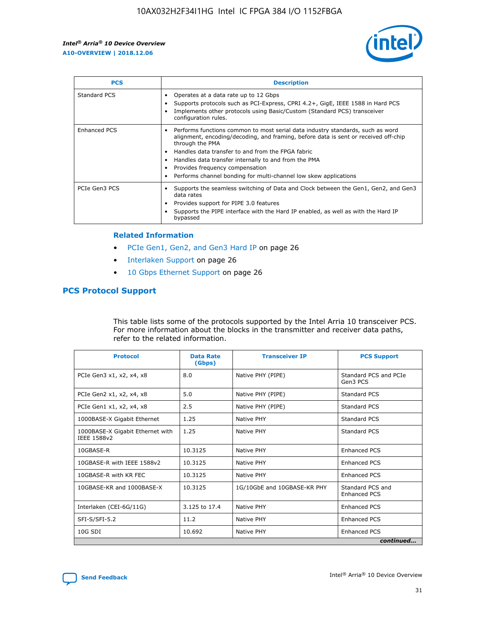

| <b>PCS</b>    | <b>Description</b>                                                                                                                                                                                                                                                                                                                                                                                             |
|---------------|----------------------------------------------------------------------------------------------------------------------------------------------------------------------------------------------------------------------------------------------------------------------------------------------------------------------------------------------------------------------------------------------------------------|
| Standard PCS  | Operates at a data rate up to 12 Gbps<br>Supports protocols such as PCI-Express, CPRI 4.2+, GigE, IEEE 1588 in Hard PCS<br>Implements other protocols using Basic/Custom (Standard PCS) transceiver<br>configuration rules.                                                                                                                                                                                    |
| Enhanced PCS  | Performs functions common to most serial data industry standards, such as word<br>alignment, encoding/decoding, and framing, before data is sent or received off-chip<br>through the PMA<br>• Handles data transfer to and from the FPGA fabric<br>Handles data transfer internally to and from the PMA<br>Provides frequency compensation<br>Performs channel bonding for multi-channel low skew applications |
| PCIe Gen3 PCS | Supports the seamless switching of Data and Clock between the Gen1, Gen2, and Gen3<br>data rates<br>Provides support for PIPE 3.0 features<br>Supports the PIPE interface with the Hard IP enabled, as well as with the Hard IP<br>bypassed                                                                                                                                                                    |

#### **Related Information**

- PCIe Gen1, Gen2, and Gen3 Hard IP on page 26
- Interlaken Support on page 26
- 10 Gbps Ethernet Support on page 26

## **PCS Protocol Support**

This table lists some of the protocols supported by the Intel Arria 10 transceiver PCS. For more information about the blocks in the transmitter and receiver data paths, refer to the related information.

| <b>Protocol</b>                                 | <b>Data Rate</b><br>(Gbps) | <b>Transceiver IP</b>       | <b>PCS Support</b>                      |
|-------------------------------------------------|----------------------------|-----------------------------|-----------------------------------------|
| PCIe Gen3 x1, x2, x4, x8                        | 8.0                        | Native PHY (PIPE)           | Standard PCS and PCIe<br>Gen3 PCS       |
| PCIe Gen2 x1, x2, x4, x8                        | 5.0                        | Native PHY (PIPE)           | <b>Standard PCS</b>                     |
| PCIe Gen1 x1, x2, x4, x8                        | 2.5                        | Native PHY (PIPE)           | Standard PCS                            |
| 1000BASE-X Gigabit Ethernet                     | 1.25                       | Native PHY                  | <b>Standard PCS</b>                     |
| 1000BASE-X Gigabit Ethernet with<br>IEEE 1588v2 | 1.25                       | Native PHY                  | Standard PCS                            |
| 10GBASE-R                                       | 10.3125                    | Native PHY                  | <b>Enhanced PCS</b>                     |
| 10GBASE-R with IEEE 1588v2                      | 10.3125                    | Native PHY                  | <b>Enhanced PCS</b>                     |
| 10GBASE-R with KR FEC                           | 10.3125                    | Native PHY                  | <b>Enhanced PCS</b>                     |
| 10GBASE-KR and 1000BASE-X                       | 10.3125                    | 1G/10GbE and 10GBASE-KR PHY | Standard PCS and<br><b>Enhanced PCS</b> |
| Interlaken (CEI-6G/11G)                         | 3.125 to 17.4              | Native PHY                  | <b>Enhanced PCS</b>                     |
| SFI-S/SFI-5.2                                   | 11.2                       | Native PHY                  | <b>Enhanced PCS</b>                     |
| $10G$ SDI                                       | 10.692                     | Native PHY                  | <b>Enhanced PCS</b>                     |
|                                                 |                            |                             | continued                               |

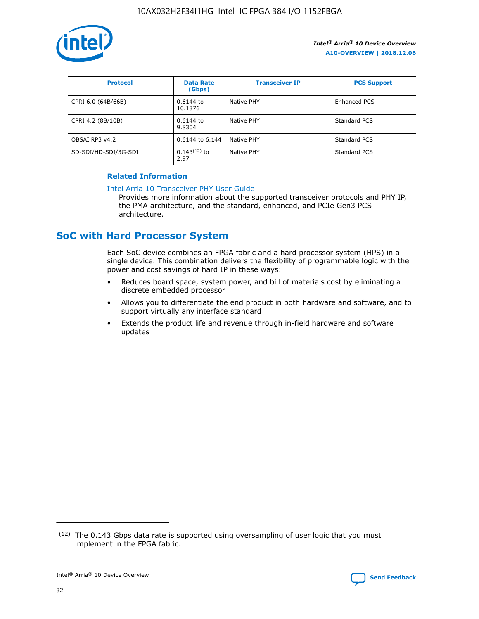

| <b>Protocol</b>      | <b>Data Rate</b><br>(Gbps) | <b>Transceiver IP</b> | <b>PCS Support</b> |
|----------------------|----------------------------|-----------------------|--------------------|
| CPRI 6.0 (64B/66B)   | 0.6144 to<br>10.1376       | Native PHY            | Enhanced PCS       |
| CPRI 4.2 (8B/10B)    | $0.6144$ to<br>9.8304      | Native PHY            | Standard PCS       |
| OBSAI RP3 v4.2       | 0.6144 to 6.144            | Native PHY            | Standard PCS       |
| SD-SDI/HD-SDI/3G-SDI | $0.143(12)$ to<br>2.97     | Native PHY            | Standard PCS       |

## **Related Information**

#### [Intel Arria 10 Transceiver PHY User Guide](https://www.intel.com/content/www/us/en/programmable/documentation/nik1398707230472.html#nik1398707091164)

Provides more information about the supported transceiver protocols and PHY IP, the PMA architecture, and the standard, enhanced, and PCIe Gen3 PCS architecture.

## **SoC with Hard Processor System**

Each SoC device combines an FPGA fabric and a hard processor system (HPS) in a single device. This combination delivers the flexibility of programmable logic with the power and cost savings of hard IP in these ways:

- Reduces board space, system power, and bill of materials cost by eliminating a discrete embedded processor
- Allows you to differentiate the end product in both hardware and software, and to support virtually any interface standard
- Extends the product life and revenue through in-field hardware and software updates

 $(12)$  The 0.143 Gbps data rate is supported using oversampling of user logic that you must implement in the FPGA fabric.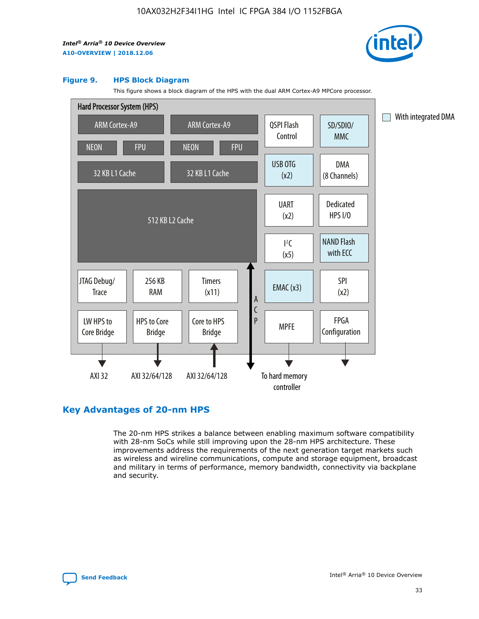

#### **Figure 9. HPS Block Diagram**

This figure shows a block diagram of the HPS with the dual ARM Cortex-A9 MPCore processor.



## **Key Advantages of 20-nm HPS**

The 20-nm HPS strikes a balance between enabling maximum software compatibility with 28-nm SoCs while still improving upon the 28-nm HPS architecture. These improvements address the requirements of the next generation target markets such as wireless and wireline communications, compute and storage equipment, broadcast and military in terms of performance, memory bandwidth, connectivity via backplane and security.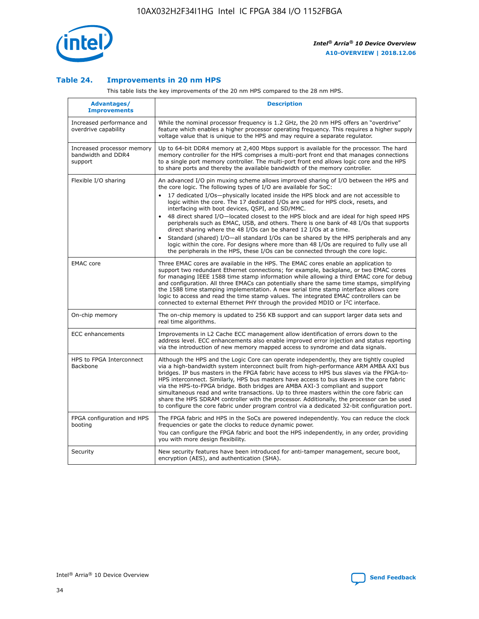

## **Table 24. Improvements in 20 nm HPS**

This table lists the key improvements of the 20 nm HPS compared to the 28 nm HPS.

| Advantages/<br><b>Improvements</b>                          | <b>Description</b>                                                                                                                                                                                                                                                                                                                                                                                                                                                                                                                                                                                                                                                                                                                                                                                                                                                                                                      |
|-------------------------------------------------------------|-------------------------------------------------------------------------------------------------------------------------------------------------------------------------------------------------------------------------------------------------------------------------------------------------------------------------------------------------------------------------------------------------------------------------------------------------------------------------------------------------------------------------------------------------------------------------------------------------------------------------------------------------------------------------------------------------------------------------------------------------------------------------------------------------------------------------------------------------------------------------------------------------------------------------|
| Increased performance and<br>overdrive capability           | While the nominal processor frequency is 1.2 GHz, the 20 nm HPS offers an "overdrive"<br>feature which enables a higher processor operating frequency. This requires a higher supply<br>voltage value that is unique to the HPS and may require a separate regulator.                                                                                                                                                                                                                                                                                                                                                                                                                                                                                                                                                                                                                                                   |
| Increased processor memory<br>bandwidth and DDR4<br>support | Up to 64-bit DDR4 memory at 2,400 Mbps support is available for the processor. The hard<br>memory controller for the HPS comprises a multi-port front end that manages connections<br>to a single port memory controller. The multi-port front end allows logic core and the HPS<br>to share ports and thereby the available bandwidth of the memory controller.                                                                                                                                                                                                                                                                                                                                                                                                                                                                                                                                                        |
| Flexible I/O sharing                                        | An advanced I/O pin muxing scheme allows improved sharing of I/O between the HPS and<br>the core logic. The following types of I/O are available for SoC:<br>17 dedicated I/Os-physically located inside the HPS block and are not accessible to<br>logic within the core. The 17 dedicated I/Os are used for HPS clock, resets, and<br>interfacing with boot devices, QSPI, and SD/MMC.<br>48 direct shared I/O-located closest to the HPS block and are ideal for high speed HPS<br>peripherals such as EMAC, USB, and others. There is one bank of 48 I/Os that supports<br>direct sharing where the 48 I/Os can be shared 12 I/Os at a time.<br>Standard (shared) I/O-all standard I/Os can be shared by the HPS peripherals and any<br>logic within the core. For designs where more than 48 I/Os are required to fully use all<br>the peripherals in the HPS, these I/Os can be connected through the core logic. |
| <b>EMAC</b> core                                            | Three EMAC cores are available in the HPS. The EMAC cores enable an application to<br>support two redundant Ethernet connections; for example, backplane, or two EMAC cores<br>for managing IEEE 1588 time stamp information while allowing a third EMAC core for debug<br>and configuration. All three EMACs can potentially share the same time stamps, simplifying<br>the 1588 time stamping implementation. A new serial time stamp interface allows core<br>logic to access and read the time stamp values. The integrated EMAC controllers can be<br>connected to external Ethernet PHY through the provided MDIO or I <sup>2</sup> C interface.                                                                                                                                                                                                                                                                  |
| On-chip memory                                              | The on-chip memory is updated to 256 KB support and can support larger data sets and<br>real time algorithms.                                                                                                                                                                                                                                                                                                                                                                                                                                                                                                                                                                                                                                                                                                                                                                                                           |
| <b>ECC</b> enhancements                                     | Improvements in L2 Cache ECC management allow identification of errors down to the<br>address level. ECC enhancements also enable improved error injection and status reporting<br>via the introduction of new memory mapped access to syndrome and data signals.                                                                                                                                                                                                                                                                                                                                                                                                                                                                                                                                                                                                                                                       |
| HPS to FPGA Interconnect<br><b>Backbone</b>                 | Although the HPS and the Logic Core can operate independently, they are tightly coupled<br>via a high-bandwidth system interconnect built from high-performance ARM AMBA AXI bus<br>bridges. IP bus masters in the FPGA fabric have access to HPS bus slaves via the FPGA-to-<br>HPS interconnect. Similarly, HPS bus masters have access to bus slaves in the core fabric<br>via the HPS-to-FPGA bridge. Both bridges are AMBA AXI-3 compliant and support<br>simultaneous read and write transactions. Up to three masters within the core fabric can<br>share the HPS SDRAM controller with the processor. Additionally, the processor can be used<br>to configure the core fabric under program control via a dedicated 32-bit configuration port.                                                                                                                                                                  |
| FPGA configuration and HPS<br>booting                       | The FPGA fabric and HPS in the SoCs are powered independently. You can reduce the clock<br>frequencies or gate the clocks to reduce dynamic power.<br>You can configure the FPGA fabric and boot the HPS independently, in any order, providing<br>you with more design flexibility.                                                                                                                                                                                                                                                                                                                                                                                                                                                                                                                                                                                                                                    |
| Security                                                    | New security features have been introduced for anti-tamper management, secure boot,<br>encryption (AES), and authentication (SHA).                                                                                                                                                                                                                                                                                                                                                                                                                                                                                                                                                                                                                                                                                                                                                                                      |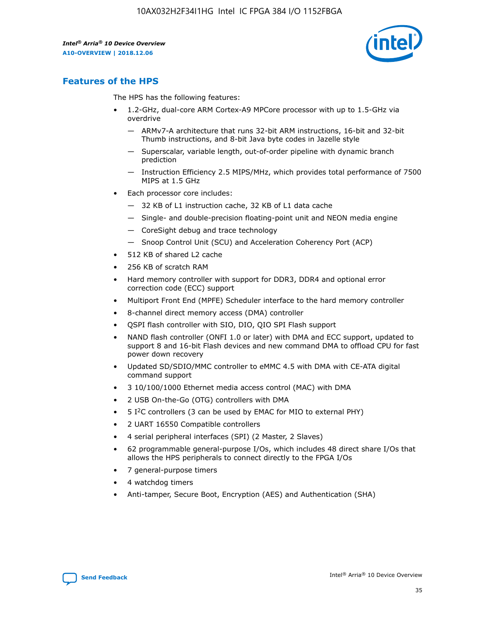

## **Features of the HPS**

The HPS has the following features:

- 1.2-GHz, dual-core ARM Cortex-A9 MPCore processor with up to 1.5-GHz via overdrive
	- ARMv7-A architecture that runs 32-bit ARM instructions, 16-bit and 32-bit Thumb instructions, and 8-bit Java byte codes in Jazelle style
	- Superscalar, variable length, out-of-order pipeline with dynamic branch prediction
	- Instruction Efficiency 2.5 MIPS/MHz, which provides total performance of 7500 MIPS at 1.5 GHz
- Each processor core includes:
	- 32 KB of L1 instruction cache, 32 KB of L1 data cache
	- Single- and double-precision floating-point unit and NEON media engine
	- CoreSight debug and trace technology
	- Snoop Control Unit (SCU) and Acceleration Coherency Port (ACP)
- 512 KB of shared L2 cache
- 256 KB of scratch RAM
- Hard memory controller with support for DDR3, DDR4 and optional error correction code (ECC) support
- Multiport Front End (MPFE) Scheduler interface to the hard memory controller
- 8-channel direct memory access (DMA) controller
- QSPI flash controller with SIO, DIO, QIO SPI Flash support
- NAND flash controller (ONFI 1.0 or later) with DMA and ECC support, updated to support 8 and 16-bit Flash devices and new command DMA to offload CPU for fast power down recovery
- Updated SD/SDIO/MMC controller to eMMC 4.5 with DMA with CE-ATA digital command support
- 3 10/100/1000 Ethernet media access control (MAC) with DMA
- 2 USB On-the-Go (OTG) controllers with DMA
- $\bullet$  5 I<sup>2</sup>C controllers (3 can be used by EMAC for MIO to external PHY)
- 2 UART 16550 Compatible controllers
- 4 serial peripheral interfaces (SPI) (2 Master, 2 Slaves)
- 62 programmable general-purpose I/Os, which includes 48 direct share I/Os that allows the HPS peripherals to connect directly to the FPGA I/Os
- 7 general-purpose timers
- 4 watchdog timers
- Anti-tamper, Secure Boot, Encryption (AES) and Authentication (SHA)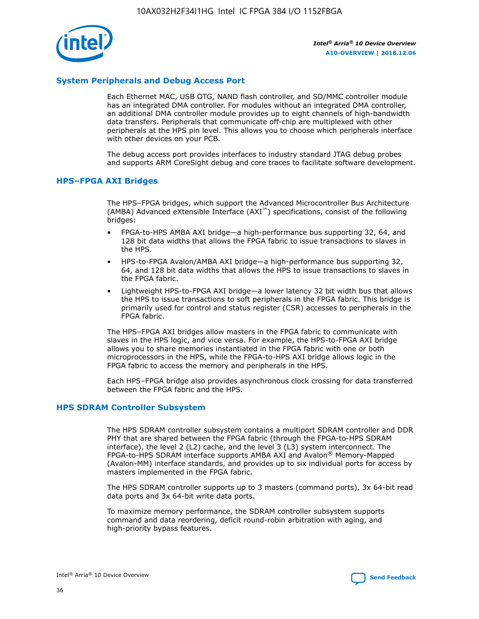

## **System Peripherals and Debug Access Port**

Each Ethernet MAC, USB OTG, NAND flash controller, and SD/MMC controller module has an integrated DMA controller. For modules without an integrated DMA controller, an additional DMA controller module provides up to eight channels of high-bandwidth data transfers. Peripherals that communicate off-chip are multiplexed with other peripherals at the HPS pin level. This allows you to choose which peripherals interface with other devices on your PCB.

The debug access port provides interfaces to industry standard JTAG debug probes and supports ARM CoreSight debug and core traces to facilitate software development.

#### **HPS–FPGA AXI Bridges**

The HPS–FPGA bridges, which support the Advanced Microcontroller Bus Architecture (AMBA) Advanced eXtensible Interface (AXI™) specifications, consist of the following bridges:

- FPGA-to-HPS AMBA AXI bridge—a high-performance bus supporting 32, 64, and 128 bit data widths that allows the FPGA fabric to issue transactions to slaves in the HPS.
- HPS-to-FPGA Avalon/AMBA AXI bridge—a high-performance bus supporting 32, 64, and 128 bit data widths that allows the HPS to issue transactions to slaves in the FPGA fabric.
- Lightweight HPS-to-FPGA AXI bridge—a lower latency 32 bit width bus that allows the HPS to issue transactions to soft peripherals in the FPGA fabric. This bridge is primarily used for control and status register (CSR) accesses to peripherals in the FPGA fabric.

The HPS–FPGA AXI bridges allow masters in the FPGA fabric to communicate with slaves in the HPS logic, and vice versa. For example, the HPS-to-FPGA AXI bridge allows you to share memories instantiated in the FPGA fabric with one or both microprocessors in the HPS, while the FPGA-to-HPS AXI bridge allows logic in the FPGA fabric to access the memory and peripherals in the HPS.

Each HPS–FPGA bridge also provides asynchronous clock crossing for data transferred between the FPGA fabric and the HPS.

#### **HPS SDRAM Controller Subsystem**

The HPS SDRAM controller subsystem contains a multiport SDRAM controller and DDR PHY that are shared between the FPGA fabric (through the FPGA-to-HPS SDRAM interface), the level 2 (L2) cache, and the level 3 (L3) system interconnect. The FPGA-to-HPS SDRAM interface supports AMBA AXI and Avalon® Memory-Mapped (Avalon-MM) interface standards, and provides up to six individual ports for access by masters implemented in the FPGA fabric.

The HPS SDRAM controller supports up to 3 masters (command ports), 3x 64-bit read data ports and 3x 64-bit write data ports.

To maximize memory performance, the SDRAM controller subsystem supports command and data reordering, deficit round-robin arbitration with aging, and high-priority bypass features.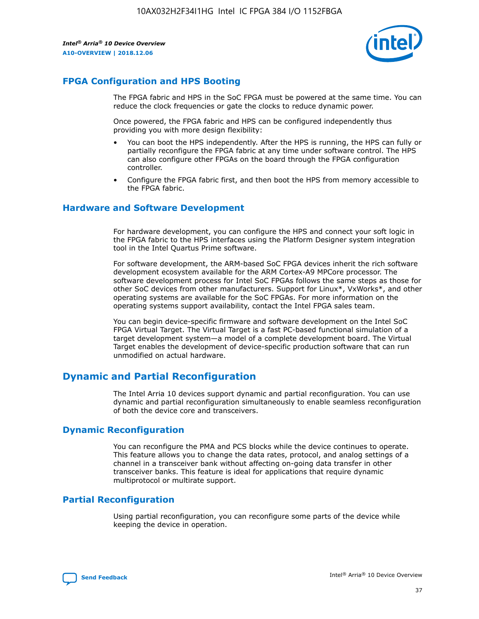

## **FPGA Configuration and HPS Booting**

The FPGA fabric and HPS in the SoC FPGA must be powered at the same time. You can reduce the clock frequencies or gate the clocks to reduce dynamic power.

Once powered, the FPGA fabric and HPS can be configured independently thus providing you with more design flexibility:

- You can boot the HPS independently. After the HPS is running, the HPS can fully or partially reconfigure the FPGA fabric at any time under software control. The HPS can also configure other FPGAs on the board through the FPGA configuration controller.
- Configure the FPGA fabric first, and then boot the HPS from memory accessible to the FPGA fabric.

## **Hardware and Software Development**

For hardware development, you can configure the HPS and connect your soft logic in the FPGA fabric to the HPS interfaces using the Platform Designer system integration tool in the Intel Quartus Prime software.

For software development, the ARM-based SoC FPGA devices inherit the rich software development ecosystem available for the ARM Cortex-A9 MPCore processor. The software development process for Intel SoC FPGAs follows the same steps as those for other SoC devices from other manufacturers. Support for Linux\*, VxWorks\*, and other operating systems are available for the SoC FPGAs. For more information on the operating systems support availability, contact the Intel FPGA sales team.

You can begin device-specific firmware and software development on the Intel SoC FPGA Virtual Target. The Virtual Target is a fast PC-based functional simulation of a target development system—a model of a complete development board. The Virtual Target enables the development of device-specific production software that can run unmodified on actual hardware.

## **Dynamic and Partial Reconfiguration**

The Intel Arria 10 devices support dynamic and partial reconfiguration. You can use dynamic and partial reconfiguration simultaneously to enable seamless reconfiguration of both the device core and transceivers.

## **Dynamic Reconfiguration**

You can reconfigure the PMA and PCS blocks while the device continues to operate. This feature allows you to change the data rates, protocol, and analog settings of a channel in a transceiver bank without affecting on-going data transfer in other transceiver banks. This feature is ideal for applications that require dynamic multiprotocol or multirate support.

## **Partial Reconfiguration**

Using partial reconfiguration, you can reconfigure some parts of the device while keeping the device in operation.

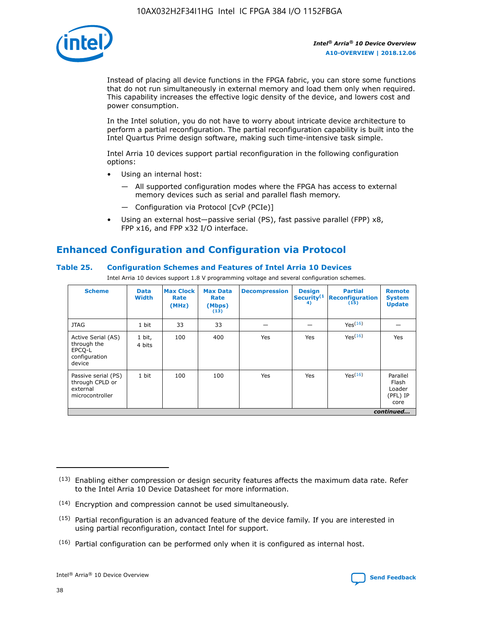

Instead of placing all device functions in the FPGA fabric, you can store some functions that do not run simultaneously in external memory and load them only when required. This capability increases the effective logic density of the device, and lowers cost and power consumption.

In the Intel solution, you do not have to worry about intricate device architecture to perform a partial reconfiguration. The partial reconfiguration capability is built into the Intel Quartus Prime design software, making such time-intensive task simple.

Intel Arria 10 devices support partial reconfiguration in the following configuration options:

- Using an internal host:
	- All supported configuration modes where the FPGA has access to external memory devices such as serial and parallel flash memory.
	- Configuration via Protocol [CvP (PCIe)]
- Using an external host—passive serial (PS), fast passive parallel (FPP) x8, FPP x16, and FPP x32 I/O interface.

## **Enhanced Configuration and Configuration via Protocol**

## **Table 25. Configuration Schemes and Features of Intel Arria 10 Devices**

Intel Arria 10 devices support 1.8 V programming voltage and several configuration schemes.

| <b>Scheme</b>                                                          | <b>Data</b><br><b>Width</b> | <b>Max Clock</b><br>Rate<br>(MHz) | <b>Max Data</b><br>Rate<br>(Mbps)<br>(13) | <b>Decompression</b> | <b>Design</b><br>Security <sup>(1</sup><br>4) | <b>Partial</b><br>Reconfiguration<br>(15) | <b>Remote</b><br><b>System</b><br><b>Update</b> |
|------------------------------------------------------------------------|-----------------------------|-----------------------------------|-------------------------------------------|----------------------|-----------------------------------------------|-------------------------------------------|-------------------------------------------------|
| <b>JTAG</b>                                                            | 1 bit                       | 33                                | 33                                        |                      |                                               | Yes(16)                                   |                                                 |
| Active Serial (AS)<br>through the<br>EPCO-L<br>configuration<br>device | 1 bit,<br>4 bits            | 100                               | 400                                       | Yes                  | Yes                                           | Yes(16)                                   | Yes                                             |
| Passive serial (PS)<br>through CPLD or<br>external<br>microcontroller  | 1 bit                       | 100                               | 100                                       | Yes                  | Yes                                           | Yes <sup>(16)</sup>                       | Parallel<br>Flash<br>Loader<br>(PFL) IP<br>core |
|                                                                        |                             |                                   |                                           |                      |                                               |                                           | continued                                       |

<sup>(13)</sup> Enabling either compression or design security features affects the maximum data rate. Refer to the Intel Arria 10 Device Datasheet for more information.

<sup>(14)</sup> Encryption and compression cannot be used simultaneously.

 $(15)$  Partial reconfiguration is an advanced feature of the device family. If you are interested in using partial reconfiguration, contact Intel for support.

 $(16)$  Partial configuration can be performed only when it is configured as internal host.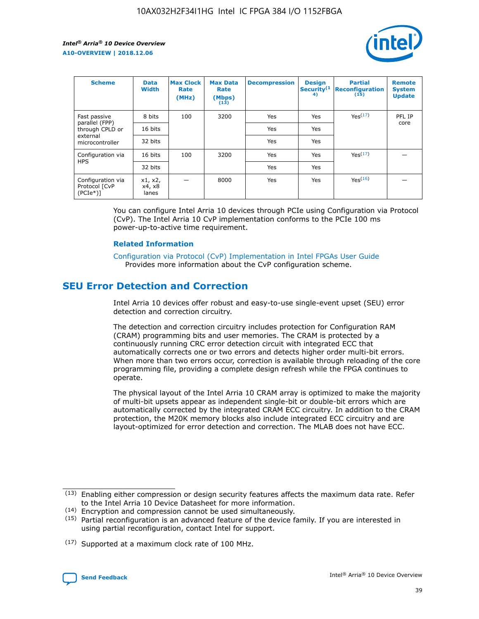

| <b>Scheme</b>                                   | <b>Data</b><br><b>Width</b> | <b>Max Clock</b><br>Rate<br>(MHz) | <b>Max Data</b><br>Rate<br>(Mbps)<br>(13) | <b>Decompression</b> | <b>Design</b><br>Security <sup>(1</sup><br>4) | <b>Partial</b><br><b>Reconfiguration</b><br>(15) | <b>Remote</b><br><b>System</b><br><b>Update</b> |
|-------------------------------------------------|-----------------------------|-----------------------------------|-------------------------------------------|----------------------|-----------------------------------------------|--------------------------------------------------|-------------------------------------------------|
| Fast passive                                    | 8 bits                      | 100                               | 3200                                      | Yes                  | Yes                                           | Yes(17)                                          | PFL IP                                          |
| parallel (FPP)<br>through CPLD or               | 16 bits                     |                                   |                                           | Yes                  | Yes                                           |                                                  | core                                            |
| external<br>microcontroller                     | 32 bits                     |                                   |                                           | Yes                  | Yes                                           |                                                  |                                                 |
| Configuration via                               | 16 bits                     | 100                               | 3200                                      | Yes                  | Yes                                           | Yes <sup>(17)</sup>                              |                                                 |
| <b>HPS</b>                                      | 32 bits                     |                                   |                                           | Yes                  | Yes                                           |                                                  |                                                 |
| Configuration via<br>Protocol [CvP<br>$(PCIe*)$ | x1, x2,<br>x4, x8<br>lanes  |                                   | 8000                                      | Yes                  | Yes                                           | Yes <sup>(16)</sup>                              |                                                 |

You can configure Intel Arria 10 devices through PCIe using Configuration via Protocol (CvP). The Intel Arria 10 CvP implementation conforms to the PCIe 100 ms power-up-to-active time requirement.

## **Related Information**

[Configuration via Protocol \(CvP\) Implementation in Intel FPGAs User Guide](https://www.intel.com/content/www/us/en/programmable/documentation/dsu1441819344145.html#dsu1442269728522) Provides more information about the CvP configuration scheme.

## **SEU Error Detection and Correction**

Intel Arria 10 devices offer robust and easy-to-use single-event upset (SEU) error detection and correction circuitry.

The detection and correction circuitry includes protection for Configuration RAM (CRAM) programming bits and user memories. The CRAM is protected by a continuously running CRC error detection circuit with integrated ECC that automatically corrects one or two errors and detects higher order multi-bit errors. When more than two errors occur, correction is available through reloading of the core programming file, providing a complete design refresh while the FPGA continues to operate.

The physical layout of the Intel Arria 10 CRAM array is optimized to make the majority of multi-bit upsets appear as independent single-bit or double-bit errors which are automatically corrected by the integrated CRAM ECC circuitry. In addition to the CRAM protection, the M20K memory blocks also include integrated ECC circuitry and are layout-optimized for error detection and correction. The MLAB does not have ECC.

(14) Encryption and compression cannot be used simultaneously.

<sup>(17)</sup> Supported at a maximum clock rate of 100 MHz.



 $(13)$  Enabling either compression or design security features affects the maximum data rate. Refer to the Intel Arria 10 Device Datasheet for more information.

 $(15)$  Partial reconfiguration is an advanced feature of the device family. If you are interested in using partial reconfiguration, contact Intel for support.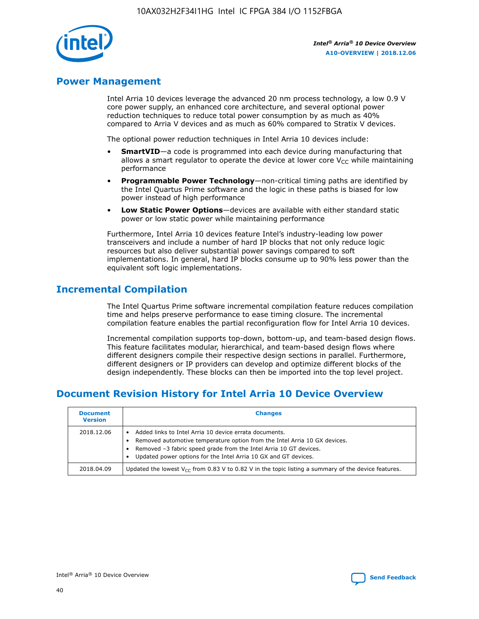

## **Power Management**

Intel Arria 10 devices leverage the advanced 20 nm process technology, a low 0.9 V core power supply, an enhanced core architecture, and several optional power reduction techniques to reduce total power consumption by as much as 40% compared to Arria V devices and as much as 60% compared to Stratix V devices.

The optional power reduction techniques in Intel Arria 10 devices include:

- **SmartVID**—a code is programmed into each device during manufacturing that allows a smart regulator to operate the device at lower core  $V_{CC}$  while maintaining performance
- **Programmable Power Technology**—non-critical timing paths are identified by the Intel Quartus Prime software and the logic in these paths is biased for low power instead of high performance
- **Low Static Power Options**—devices are available with either standard static power or low static power while maintaining performance

Furthermore, Intel Arria 10 devices feature Intel's industry-leading low power transceivers and include a number of hard IP blocks that not only reduce logic resources but also deliver substantial power savings compared to soft implementations. In general, hard IP blocks consume up to 90% less power than the equivalent soft logic implementations.

## **Incremental Compilation**

The Intel Quartus Prime software incremental compilation feature reduces compilation time and helps preserve performance to ease timing closure. The incremental compilation feature enables the partial reconfiguration flow for Intel Arria 10 devices.

Incremental compilation supports top-down, bottom-up, and team-based design flows. This feature facilitates modular, hierarchical, and team-based design flows where different designers compile their respective design sections in parallel. Furthermore, different designers or IP providers can develop and optimize different blocks of the design independently. These blocks can then be imported into the top level project.

## **Document Revision History for Intel Arria 10 Device Overview**

| <b>Document</b><br><b>Version</b> | <b>Changes</b>                                                                                                                                                                                                                                                              |
|-----------------------------------|-----------------------------------------------------------------------------------------------------------------------------------------------------------------------------------------------------------------------------------------------------------------------------|
| 2018.12.06                        | Added links to Intel Arria 10 device errata documents.<br>Removed automotive temperature option from the Intel Arria 10 GX devices.<br>Removed -3 fabric speed grade from the Intel Arria 10 GT devices.<br>Updated power options for the Intel Arria 10 GX and GT devices. |
| 2018.04.09                        | Updated the lowest $V_{CC}$ from 0.83 V to 0.82 V in the topic listing a summary of the device features.                                                                                                                                                                    |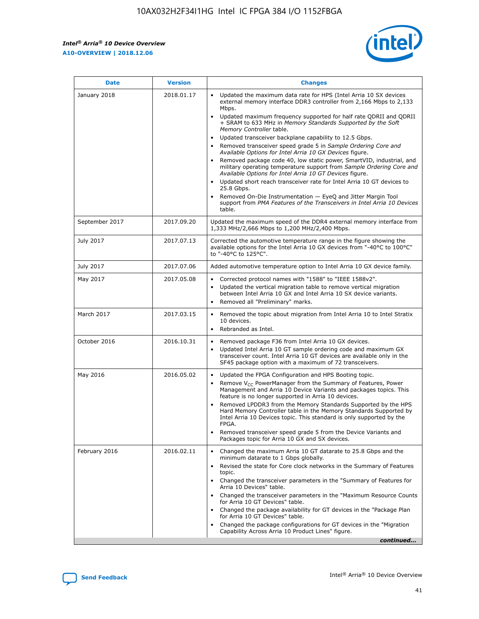*Intel® Arria® 10 Device Overview* **A10-OVERVIEW | 2018.12.06**



| <b>Date</b>    | <b>Version</b> | <b>Changes</b>                                                                                                                                                                                                                                                                                                                                                                                                                                                                                                                                                                                                                                                                                                                                                                                                                                                                                                                                                            |
|----------------|----------------|---------------------------------------------------------------------------------------------------------------------------------------------------------------------------------------------------------------------------------------------------------------------------------------------------------------------------------------------------------------------------------------------------------------------------------------------------------------------------------------------------------------------------------------------------------------------------------------------------------------------------------------------------------------------------------------------------------------------------------------------------------------------------------------------------------------------------------------------------------------------------------------------------------------------------------------------------------------------------|
| January 2018   | 2018.01.17     | Updated the maximum data rate for HPS (Intel Arria 10 SX devices<br>external memory interface DDR3 controller from 2,166 Mbps to 2,133<br>Mbps.<br>Updated maximum frequency supported for half rate QDRII and QDRII<br>+ SRAM to 633 MHz in Memory Standards Supported by the Soft<br>Memory Controller table.<br>Updated transceiver backplane capability to 12.5 Gbps.<br>$\bullet$<br>Removed transceiver speed grade 5 in Sample Ordering Core and<br>Available Options for Intel Arria 10 GX Devices figure.<br>Removed package code 40, low static power, SmartVID, industrial, and<br>military operating temperature support from Sample Ordering Core and<br>Available Options for Intel Arria 10 GT Devices figure.<br>Updated short reach transceiver rate for Intel Arria 10 GT devices to<br>25.8 Gbps.<br>Removed On-Die Instrumentation - EyeQ and Jitter Margin Tool<br>support from PMA Features of the Transceivers in Intel Arria 10 Devices<br>table. |
| September 2017 | 2017.09.20     | Updated the maximum speed of the DDR4 external memory interface from<br>1,333 MHz/2,666 Mbps to 1,200 MHz/2,400 Mbps.                                                                                                                                                                                                                                                                                                                                                                                                                                                                                                                                                                                                                                                                                                                                                                                                                                                     |
| July 2017      | 2017.07.13     | Corrected the automotive temperature range in the figure showing the<br>available options for the Intel Arria 10 GX devices from "-40°C to 100°C"<br>to "-40°C to 125°C".                                                                                                                                                                                                                                                                                                                                                                                                                                                                                                                                                                                                                                                                                                                                                                                                 |
| July 2017      | 2017.07.06     | Added automotive temperature option to Intel Arria 10 GX device family.                                                                                                                                                                                                                                                                                                                                                                                                                                                                                                                                                                                                                                                                                                                                                                                                                                                                                                   |
| May 2017       | 2017.05.08     | Corrected protocol names with "1588" to "IEEE 1588v2".<br>$\bullet$<br>Updated the vertical migration table to remove vertical migration<br>$\bullet$<br>between Intel Arria 10 GX and Intel Arria 10 SX device variants.<br>Removed all "Preliminary" marks.<br>$\bullet$                                                                                                                                                                                                                                                                                                                                                                                                                                                                                                                                                                                                                                                                                                |
| March 2017     | 2017.03.15     | Removed the topic about migration from Intel Arria 10 to Intel Stratix<br>10 devices.<br>Rebranded as Intel.<br>$\bullet$                                                                                                                                                                                                                                                                                                                                                                                                                                                                                                                                                                                                                                                                                                                                                                                                                                                 |
| October 2016   | 2016.10.31     | Removed package F36 from Intel Arria 10 GX devices.<br>Updated Intel Arria 10 GT sample ordering code and maximum GX<br>$\bullet$<br>transceiver count. Intel Arria 10 GT devices are available only in the<br>SF45 package option with a maximum of 72 transceivers.                                                                                                                                                                                                                                                                                                                                                                                                                                                                                                                                                                                                                                                                                                     |
| May 2016       | 2016.05.02     | Updated the FPGA Configuration and HPS Booting topic.<br>$\bullet$<br>Remove V <sub>CC</sub> PowerManager from the Summary of Features, Power<br>Management and Arria 10 Device Variants and packages topics. This<br>feature is no longer supported in Arria 10 devices.<br>Removed LPDDR3 from the Memory Standards Supported by the HPS<br>Hard Memory Controller table in the Memory Standards Supported by<br>Intel Arria 10 Devices topic. This standard is only supported by the<br>FPGA.<br>Removed transceiver speed grade 5 from the Device Variants and<br>Packages topic for Arria 10 GX and SX devices.                                                                                                                                                                                                                                                                                                                                                      |
| February 2016  | 2016.02.11     | Changed the maximum Arria 10 GT datarate to 25.8 Gbps and the<br>minimum datarate to 1 Gbps globally.<br>Revised the state for Core clock networks in the Summary of Features<br>$\bullet$<br>topic.<br>Changed the transceiver parameters in the "Summary of Features for<br>$\bullet$<br>Arria 10 Devices" table.<br>• Changed the transceiver parameters in the "Maximum Resource Counts<br>for Arria 10 GT Devices" table.<br>Changed the package availability for GT devices in the "Package Plan<br>for Arria 10 GT Devices" table.<br>Changed the package configurations for GT devices in the "Migration"<br>Capability Across Arria 10 Product Lines" figure.<br>continued                                                                                                                                                                                                                                                                                       |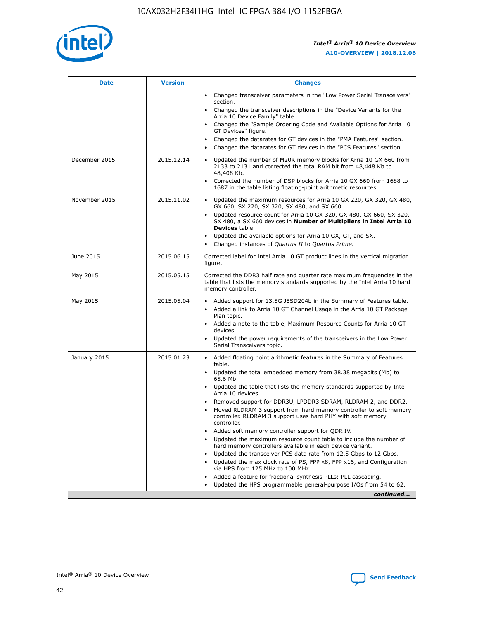

| <b>Date</b>   | <b>Version</b> | <b>Changes</b>                                                                                                                                                               |
|---------------|----------------|------------------------------------------------------------------------------------------------------------------------------------------------------------------------------|
|               |                | • Changed transceiver parameters in the "Low Power Serial Transceivers"<br>section.                                                                                          |
|               |                | • Changed the transceiver descriptions in the "Device Variants for the<br>Arria 10 Device Family" table.                                                                     |
|               |                | Changed the "Sample Ordering Code and Available Options for Arria 10<br>$\bullet$<br>GT Devices" figure.                                                                     |
|               |                | Changed the datarates for GT devices in the "PMA Features" section.                                                                                                          |
|               |                | Changed the datarates for GT devices in the "PCS Features" section.<br>$\bullet$                                                                                             |
| December 2015 | 2015.12.14     | Updated the number of M20K memory blocks for Arria 10 GX 660 from<br>2133 to 2131 and corrected the total RAM bit from 48,448 Kb to<br>48,408 Kb.                            |
|               |                | Corrected the number of DSP blocks for Arria 10 GX 660 from 1688 to<br>1687 in the table listing floating-point arithmetic resources.                                        |
| November 2015 | 2015.11.02     | Updated the maximum resources for Arria 10 GX 220, GX 320, GX 480,<br>$\bullet$<br>GX 660, SX 220, SX 320, SX 480, and SX 660.                                               |
|               |                | • Updated resource count for Arria 10 GX 320, GX 480, GX 660, SX 320,<br>SX 480, a SX 660 devices in Number of Multipliers in Intel Arria 10<br><b>Devices</b> table.        |
|               |                | Updated the available options for Arria 10 GX, GT, and SX.                                                                                                                   |
|               |                | Changed instances of Quartus II to Quartus Prime.<br>$\bullet$                                                                                                               |
| June 2015     | 2015.06.15     | Corrected label for Intel Arria 10 GT product lines in the vertical migration<br>figure.                                                                                     |
| May 2015      | 2015.05.15     | Corrected the DDR3 half rate and quarter rate maximum frequencies in the<br>table that lists the memory standards supported by the Intel Arria 10 hard<br>memory controller. |
| May 2015      | 2015.05.04     | • Added support for 13.5G JESD204b in the Summary of Features table.                                                                                                         |
|               |                | • Added a link to Arria 10 GT Channel Usage in the Arria 10 GT Package<br>Plan topic.                                                                                        |
|               |                | • Added a note to the table, Maximum Resource Counts for Arria 10 GT<br>devices.                                                                                             |
|               |                | • Updated the power requirements of the transceivers in the Low Power<br>Serial Transceivers topic.                                                                          |
| January 2015  | 2015.01.23     | • Added floating point arithmetic features in the Summary of Features<br>table.                                                                                              |
|               |                | • Updated the total embedded memory from 38.38 megabits (Mb) to<br>65.6 Mb.                                                                                                  |
|               |                | • Updated the table that lists the memory standards supported by Intel<br>Arria 10 devices.                                                                                  |
|               |                | Removed support for DDR3U, LPDDR3 SDRAM, RLDRAM 2, and DDR2.                                                                                                                 |
|               |                | Moved RLDRAM 3 support from hard memory controller to soft memory<br>controller. RLDRAM 3 support uses hard PHY with soft memory<br>controller.                              |
|               |                | Added soft memory controller support for QDR IV.<br>٠                                                                                                                        |
|               |                | Updated the maximum resource count table to include the number of<br>hard memory controllers available in each device variant.                                               |
|               |                | Updated the transceiver PCS data rate from 12.5 Gbps to 12 Gbps.<br>$\bullet$                                                                                                |
|               |                | Updated the max clock rate of PS, FPP x8, FPP x16, and Configuration<br>via HPS from 125 MHz to 100 MHz.                                                                     |
|               |                | Added a feature for fractional synthesis PLLs: PLL cascading.                                                                                                                |
|               |                | Updated the HPS programmable general-purpose I/Os from 54 to 62.<br>$\bullet$                                                                                                |
|               |                | continued                                                                                                                                                                    |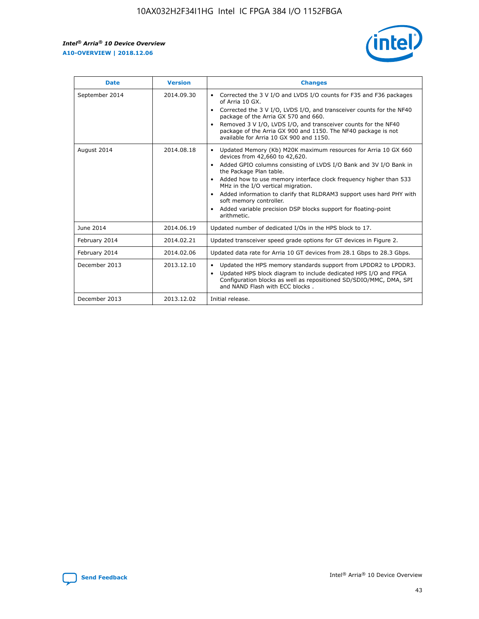r



| <b>Date</b>    | <b>Version</b> | <b>Changes</b>                                                                                                                                                                                                                                                                                                                                                                                                                                                                                                                         |
|----------------|----------------|----------------------------------------------------------------------------------------------------------------------------------------------------------------------------------------------------------------------------------------------------------------------------------------------------------------------------------------------------------------------------------------------------------------------------------------------------------------------------------------------------------------------------------------|
| September 2014 | 2014.09.30     | Corrected the 3 V I/O and LVDS I/O counts for F35 and F36 packages<br>of Arria 10 GX.<br>Corrected the 3 V I/O, LVDS I/O, and transceiver counts for the NF40<br>package of the Arria GX 570 and 660.<br>Removed 3 V I/O, LVDS I/O, and transceiver counts for the NF40<br>package of the Arria GX 900 and 1150. The NF40 package is not<br>available for Arria 10 GX 900 and 1150.                                                                                                                                                    |
| August 2014    | 2014.08.18     | Updated Memory (Kb) M20K maximum resources for Arria 10 GX 660<br>devices from 42,660 to 42,620.<br>Added GPIO columns consisting of LVDS I/O Bank and 3V I/O Bank in<br>$\bullet$<br>the Package Plan table.<br>Added how to use memory interface clock frequency higher than 533<br>$\bullet$<br>MHz in the I/O vertical migration.<br>Added information to clarify that RLDRAM3 support uses hard PHY with<br>$\bullet$<br>soft memory controller.<br>Added variable precision DSP blocks support for floating-point<br>arithmetic. |
| June 2014      | 2014.06.19     | Updated number of dedicated I/Os in the HPS block to 17.                                                                                                                                                                                                                                                                                                                                                                                                                                                                               |
| February 2014  | 2014.02.21     | Updated transceiver speed grade options for GT devices in Figure 2.                                                                                                                                                                                                                                                                                                                                                                                                                                                                    |
| February 2014  | 2014.02.06     | Updated data rate for Arria 10 GT devices from 28.1 Gbps to 28.3 Gbps.                                                                                                                                                                                                                                                                                                                                                                                                                                                                 |
| December 2013  | 2013.12.10     | Updated the HPS memory standards support from LPDDR2 to LPDDR3.<br>Updated HPS block diagram to include dedicated HPS I/O and FPGA<br>$\bullet$<br>Configuration blocks as well as repositioned SD/SDIO/MMC, DMA, SPI<br>and NAND Flash with ECC blocks.                                                                                                                                                                                                                                                                               |
| December 2013  | 2013.12.02     | Initial release.                                                                                                                                                                                                                                                                                                                                                                                                                                                                                                                       |